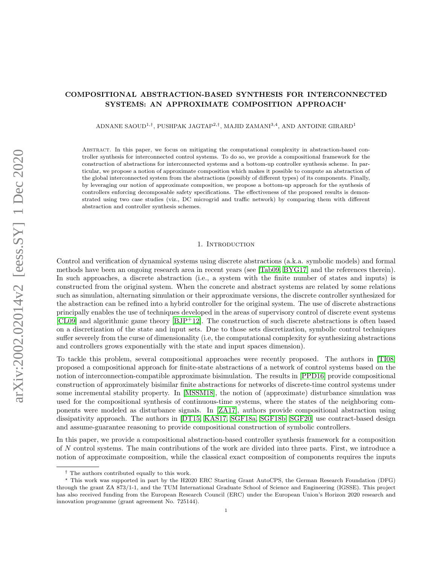# COMPOSITIONAL ABSTRACTION-BASED SYNTHESIS FOR INTERCONNECTED SYSTEMS: AN APPROXIMATE COMPOSITION APPROACH?

ADNANE SAOUD<sup>1,†</sup>, PUSHPAK JAGTAP<sup>2,†</sup>, MAJID ZAMANI<sup>3,4</sup>, AND ANTOINE GIRARD<sup>1</sup>

Abstract. In this paper, we focus on mitigating the computational complexity in abstraction-based controller synthesis for interconnected control systems. To do so, we provide a compositional framework for the construction of abstractions for interconnected systems and a bottom-up controller synthesis scheme. In particular, we propose a notion of approximate composition which makes it possible to compute an abstraction of the global interconnected system from the abstractions (possibly of different types) of its components. Finally, by leveraging our notion of approximate composition, we propose a bottom-up approach for the synthesis of controllers enforcing decomposable safety specifications. The effectiveness of the proposed results is demonstrated using two case studies (viz., DC microgrid and traffic network) by comparing them with different abstraction and controller synthesis schemes.

#### 1. INTRODUCTION

Control and verification of dynamical systems using discrete abstractions (a.k.a. symbolic models) and formal methods have been an ongoing research area in recent years (see [\[Tab09,](#page-17-0) [BYG17\]](#page-16-0) and the references therein). In such approaches, a discrete abstraction (i.e., a system with the finite number of states and inputs) is constructed from the original system. When the concrete and abstract systems are related by some relations such as simulation, alternating simulation or their approximate versions, the discrete controller synthesized for the abstraction can be refined into a hybrid controller for the original system. The use of discrete abstractions principally enables the use of techniques developed in the areas of supervisory control of discrete event systems  $[CL09]$  and algorithmic game theory  $[BIP+12]$ . The construction of such discrete abstractions is often based on a discretization of the state and input sets. Due to those sets discretization, symbolic control techniques suffer severely from the curse of dimensionality (i.e, the computational complexity for synthesizing abstractions and controllers grows exponentially with the state and input spaces dimension).

To tackle this problem, several compositional approaches were recently proposed. The authors in [\[TI08\]](#page-17-1) proposed a compositional approach for finite-state abstractions of a network of control systems based on the notion of interconnection-compatible approximate bisimulation. The results in [\[PPD16\]](#page-17-2) provide compositional construction of approximately bisimilar finite abstractions for networks of discrete-time control systems under some incremental stability property. In [\[MSSM18\]](#page-17-3), the notion of (approximate) disturbance simulation was used for the compositional synthesis of continuous-time systems, where the states of the neighboring components were modeled as disturbance signals. In [\[ZA17\]](#page-17-4), authors provide compositional abstraction using dissipativity approach. The authors in [\[DT15,](#page-16-3) [KAS17,](#page-16-4) [SGF18a,](#page-17-5) [SGF18b,](#page-17-6) [SGF20\]](#page-17-7) use contract-based design and assume-guarantee reasoning to provide compositional construction of symbolic controllers.

In this paper, we provide a compositional abstraction-based controller synthesis framework for a composition of N control systems. The main contributions of the work are divided into three parts. First, we introduce a notion of approximate composition, while the classical exact composition of components requires the inputs

<sup>&</sup>lt;sup>†</sup> The authors contributed equally to this work.

<sup>?</sup> This work was supported in part by the H2020 ERC Starting Grant AutoCPS, the German Research Foundation (DFG) through the grant ZA 873/1-1, and the TUM International Graduate School of Science and Engineering (IGSSE). This project has also received funding from the European Research Council (ERC) under the European Union's Horizon 2020 research and innovation programme (grant agreement No. 725144).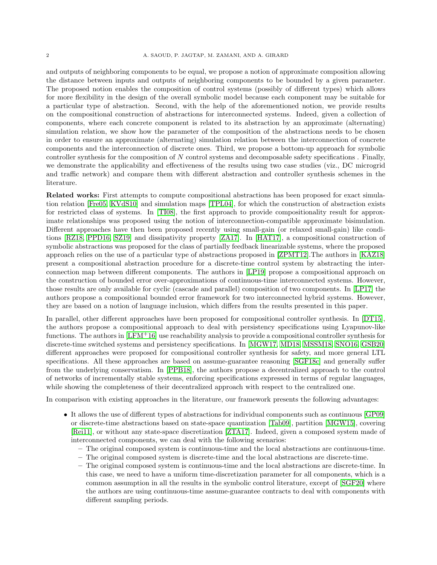and outputs of neighboring components to be equal, we propose a notion of approximate composition allowing the distance between inputs and outputs of neighboring components to be bounded by a given parameter. The proposed notion enables the composition of control systems (possibly of different types) which allows for more flexibility in the design of the overall symbolic model because each component may be suitable for a particular type of abstraction. Second, with the help of the aforementioned notion, we provide results on the compositional construction of abstractions for interconnected systems. Indeed, given a collection of components, where each concrete component is related to its abstraction by an approximate (alternating) simulation relation, we show how the parameter of the composition of the abstractions needs to be chosen in order to ensure an approximate (alternating) simulation relation between the interconnection of concrete components and the interconnection of discrete ones. Third, we propose a bottom-up approach for symbolic controller synthesis for the composition of  $N$  control systems and decomposable safety specifications . Finally, we demonstrate the applicability and effectiveness of the results using two case studies (viz., DC microgrid and traffic network) and compare them with different abstraction and controller synthesis schemes in the literature.

Related works: First attempts to compute compositional abstractions has been proposed for exact simulation relation [\[Fre05,](#page-16-5) [KVdS10\]](#page-16-6) and simulation maps [\[TPL04\]](#page-17-8), for which the construction of abstraction exists for restricted class of systems. In [\[TI08\]](#page-17-1), the first approach to provide compositionality result for approximate relationships was proposed using the notion of interconnection-compatible approximate bisimulation. Different approaches have then been proposed recently using small-gain (or relaxed small-gain) like conditions [\[RZ18,](#page-17-9) [PPD16,](#page-17-2) [SZ19\]](#page-17-10) and dissipativity property [\[ZA17\]](#page-17-4). In [\[HAT17\]](#page-16-7), a compositional construction of symbolic abstractions was proposed for the class of partially feedback linearizable systems, where the proposed approach relies on the use of a particular type of abstractions proposed in [\[ZPMT12\]](#page-17-11).The authors in [\[KAZ18\]](#page-16-8) present a compositional abstraction procedure for a discrete-time control system by abstracting the interconnection map between different components. The authors in [\[LP19\]](#page-16-9) propose a compositional approach on the construction of bounded error over-approximations of continuous-time interconnected systems. However, those results are only available for cyclic (cascade and parallel) composition of two components. In [\[LP17\]](#page-16-10) the authors propose a compositional bounded error framework for two interconnected hybrid systems. However, they are based on a notion of language inclusion, which differs from the results presented in this paper.

In parallel, other different approaches have been proposed for compositional controller synthesis. In [\[DT15\]](#page-16-3), the authors propose a compositional approach to deal with persistency specifications using Lyapunov-like functions. The authors in  $[LFM+16]$  $[LFM+16]$  use reachability analysis to provide a compositional controller synthesis for discrete-time switched systems and persistency specifications. In [\[MGW17,](#page-17-12) [MD18,](#page-16-12) [MSSM18,](#page-17-3) [SNO16,](#page-17-13) [GSB20\]](#page-16-13) different approaches were proposed for compositional controller synthesis for safety, and more general LTL specifications. All these approaches are based on assume-guarantee reasoning [\[SGF18c\]](#page-17-14) and generally suffer from the underlying conservatism. In [\[PPB18\]](#page-17-15), the authors propose a decentralized approach to the control of networks of incrementally stable systems, enforcing specifications expressed in terms of regular languages, while showing the completeness of their decentralized approach with respect to the centralized one.

In comparison with existing approaches in the literature, our framework presents the following advantages:

- It allows the use of different types of abstractions for individual components such as continuous [\[GP09\]](#page-16-14) or discrete-time abstractions based on state-space quantization [\[Tab09\]](#page-17-0), partition [\[MGW15\]](#page-17-16), covering [\[Rei11\]](#page-17-17), or without any state-space discretization [\[ZTA17\]](#page-17-18). Indeed, given a composed system made of interconnected components, we can deal with the following scenarios:
	- The original composed system is continuous-time and the local abstractions are continuous-time.
	- The original composed system is discrete-time and the local abstractions are discrete-time.
	- The original composed system is continuous-time and the local abstractions are discrete-time. In this case, we need to have a uniform time-discretization parameter for all components, which is a common assumption in all the results in the symbolic control literature, except of [\[SGF20\]](#page-17-7) where the authors are using continuous-time assume-guarantee contracts to deal with components with different sampling periods.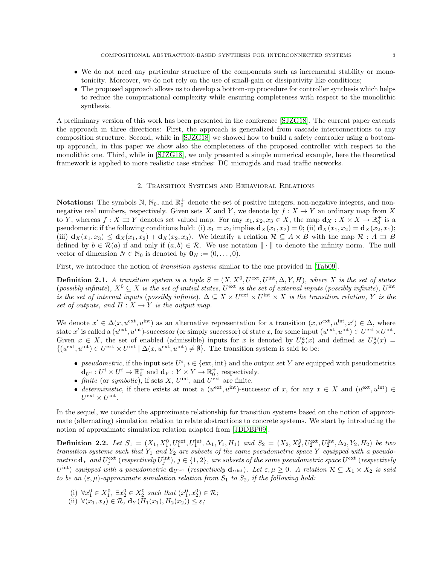- We do not need any particular structure of the components such as incremental stability or monotonicity. Moreover, we do not rely on the use of small-gain or dissipativity like conditions;
- The proposed approach allows us to develop a bottom-up procedure for controller synthesis which helps to reduce the computational complexity while ensuring completeness with respect to the monolithic synthesis.

A preliminary version of this work has been presented in the conference [\[SJZG18\]](#page-17-19). The current paper extends the approach in three directions: First, the approach is generalized from cascade interconnections to any composition structure. Second, while in [\[SJZG18\]](#page-17-19) we showed how to build a safety controller using a bottomup approach, in this paper we show also the completeness of the proposed controller with respect to the monolithic one. Third, while in [\[SJZG18\]](#page-17-19), we only presented a simple numerical example, here the theoretical framework is applied to more realistic case studies: DC microgids and road traffic networks.

#### 2. Transition Systems and Behavioral Relations

**Notations:** The symbols  $\mathbb{N}$ ,  $\mathbb{N}_0$ , and  $\mathbb{R}_0^+$  denote the set of positive integers, non-negative integers, and nonnegative real numbers, respectively. Given sets X and Y, we denote by  $f: X \to Y$  an ordinary map from X to Y, whereas  $f: X \rightrightarrows Y$  denotes set valued map. For any  $x_1, x_2, x_3 \in X$ , the map  $\mathbf{d}_X: X \times X \to \mathbb{R}_0^+$  is a pseudometric if the following conditions hold: (i)  $x_1 = x_2$  implies  $\mathbf{d}_X(x_1, x_2) = 0$ ; (ii)  $\mathbf{d}_X(x_1, x_2) = \mathbf{d}_X(x_2, x_1)$ ; (iii)  $\mathbf{d}_X(x_1, x_3) \leq \mathbf{d}_X(x_1, x_2) + \mathbf{d}_X(x_2, x_3)$ . We identify a relation  $\mathcal{R} \subseteq A \times B$  with the map  $\mathcal{R} : A \rightrightarrows B$ defined by  $b \in \mathcal{R}(a)$  if and only if  $(a, b) \in \mathcal{R}$ . We use notation  $\|\cdot\|$  to denote the infinity norm. The null vector of dimension  $N \in \mathbb{N}_0$  is denoted by  $\mathbf{0}_N := (0, \ldots, 0)$ .

First, we introduce the notion of *transition systems* similar to the one provided in [\[Tab09\]](#page-17-0).

**Definition 2.1.** A transition system is a tuple  $S = (X, X^0, U^{\text{ext}}, U^{\text{int}}, \Delta, Y, H)$ , where X is the set of states (possibly infinite),  $X^0 \subseteq X$  is the set of initial states,  $U^{\text{ext}}$  is the set of external inputs (possibly infinite),  $U^{\text{int}}$ is the set of internal inputs (possibly infinite),  $\Delta \subseteq X \times U^{\text{ext}} \times U^{\text{int}} \times X$  is the transition relation, Y is the set of outputs, and  $H : X \to Y$  is the output map.

We denote  $x' \in \Delta(x, u^{\text{ext}}, u^{\text{int}})$  as an alternative representation for a transition  $(x, u^{\text{ext}}, u^{\text{int}}, x') \in \Delta$ , where state x' is called a  $(u^{\text{ext}}, u^{\text{int}})$ -successor (or simply successor) of state x, for some input  $(u^{\text{ext}}, u^{\text{int}}) \in U^{\text{ext}} \times U^{\text{int}}$ . Given  $x \in X$ , the set of enabled (admissible) inputs for x is denoted by  $U_S^a(x)$  and defined as  $U_S^a(x)$  $\{(u^{\text{ext}}, u^{\text{int}}) \in U^{\text{ext}} \times U^{\text{int}} \mid \Delta(x, u^{\text{ext}}, u^{\text{int}}) \neq \emptyset\}$ . The transition system is said to be:

- pseudometric, if the input sets  $U^i$ ,  $i \in \{\text{ext}, \text{int}\}\$ and the output set Y are equipped with pseudometrics  $\mathbf{d}_{U^i}: U^i \times U^i \to \mathbb{R}_0^+$  and  $\mathbf{d}_Y: Y \times Y \to \mathbb{R}_0^+$ , respectively.
- finite (or symbolic), if sets X,  $U^{\text{int}}$ , and  $U^{\text{ext}}$  are finite.
- deterministic, if there exists at most a  $(u^{\text{ext}}, u^{\text{int}})$ -successor of x, for any  $x \in X$  and  $(u^{\text{ext}}, u^{\text{int}}) \in$  $U^{\text{ext}} \times U^{\text{int}}$ .

In the sequel, we consider the approximate relationship for transition systems based on the notion of approximate (alternating) simulation relation to relate abstractions to concrete systems. We start by introducing the notion of approximate simulation relation adapted from [\[JDDBP09\]](#page-16-15).

<span id="page-2-0"></span>**Definition 2.2.** Let  $S_1 = (X_1, X_1^0, U_1^{\text{ext}}, U_1^{\text{int}}, \Delta_1, Y_1, H_1)$  and  $S_2 = (X_2, X_2^0, U_2^{\text{ext}}, U_2^{\text{int}}, \Delta_2, Y_2, H_2)$  be two transition systems such that  $Y_1$  and  $Y_2$  are subsets of the same pseudometric space Y equipped with a pseudo- $\emph{metric}~\mathbf{d}_Y ~\emph{and} ~U_j^\textrm{ext}~(\emph{respectively}~U_j^\textrm{int}),~j\in\{1,2\},~\emph{are subsets of the same pseudometric space}~U^\textrm{ext}~(\emph{respectively})$  $U^{\rm int}$ ) equipped with a pseudometric  ${\bf d}_{U^{\rm ext}}$  (respectively  ${\bf d}_{U^{\rm int}}$ ). Let  $\varepsilon, \mu \geq 0$ . A relation  ${\cal R} \subseteq X_1 \times X_2$  is said to be an  $(\varepsilon, \mu)$ -approximate simulation relation from  $S_1$  to  $S_2$ , if the following hold:

- (i)  $\forall x_1^0 \in X_1^0, \ \exists x_2^0 \in X_2^0 \text{ such that } (x_1^0, x_2^0) \in \mathcal{R};$
- (ii)  $\forall (x_1, x_2) \in \mathcal{R}, \mathbf{d}_Y(H_1(x_1), H_2(x_2)) \leq \varepsilon;$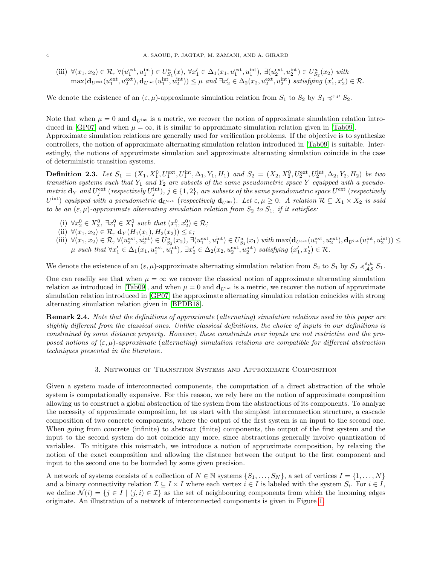(iii)  $\forall (x_1, x_2) \in \mathcal{R}, \forall (u_1^{\text{ext}}, u_1^{\text{int}}) \in U_{S_1}^a(x), \forall x_1' \in \Delta_1(x_1, u_1^{\text{ext}}, u_1^{\text{int}}), \exists (u_2^{\text{ext}}, u_2^{\text{int}}) \in U_{S_2}^a(x_2) \text{ with }$  $\max(\mathbf{d}_{U^{\text{ext}}}(u_1^{\text{ext}}, u_2^{\text{ext}}), \mathbf{d}_{U^{\text{int}}}(u_1^{\text{int}}, u_2^{\text{int}})) \leq \mu \text{ and } \exists x_2' \in \Delta_2(x_2, u_2^{\text{ext}}, u_2^{\text{int}}) \text{ satisfying } (x_1', x_2') \in \mathcal{R}.$ 

We denote the existence of an  $(\varepsilon, \mu)$ -approximate simulation relation from  $S_1$  to  $S_2$  by  $S_1 \preccurlyeq^{\varepsilon, \mu} S_2$ .

Note that when  $\mu = 0$  and  $d_{\text{Hint}}$  is a metric, we recover the notion of approximate simulation relation intro-duced in [\[GP07\]](#page-16-16) and when  $\mu = \infty$ , it is similar to approximate simulation relation given in [\[Tab09\]](#page-17-0). Approximate simulation relations are generally used for verification problems. If the objective is to synthesize controllers, the notion of approximate alternating simulation relation introduced in [\[Tab09\]](#page-17-0) is suitable. Interestingly, the notions of approximate simulation and approximate alternating simulation coincide in the case of deterministic transition systems.

<span id="page-3-0"></span>**Definition 2.3.** Let  $S_1 = (X_1, X_1^0, U_1^{\text{ext}}, U_1^{\text{int}}, \Delta_1, Y_1, H_1)$  and  $S_2 = (X_2, X_2^0, U_2^{\text{ext}}, U_2^{\text{int}}, \Delta_2, Y_2, H_2)$  be two transition systems such that  $Y_1$  and  $Y_2$  are subsets of the same pseudometric space Y equipped with a pseudometric  $d_Y$  and  $U_j^{\text{ext}}$  (respectively  $U_j^{\text{int}}$ ),  $j \in \{1,2\}$ , are subsets of the same pseudometric space  $U^{\text{ext}}$  (respectively  $U^{\rm int}$ ) equipped with a pseudometric  $d_{U^{\rm ext}}$  (respectively  $d_{U^{\rm int}}$ ). Let  $\varepsilon, \mu \geq 0$ . A relation  $\mathcal{R} \subseteq X_1 \times X_2$  is said to be an  $(\varepsilon, \mu)$ -approximate alternating simulation relation from  $S_2$  to  $S_1$ , if it satisfies:

- (i)  $\forall x_2^0 \in X_2^0, \exists x_1^0 \in X_1^0 \text{ such that } (x_1^0, x_2^0) \in \mathcal{R}$ ;
- (ii)  $\forall (x_1, x_2) \in \mathcal{R}, \mathbf{d}_Y(H_1(x_1), H_2(x_2)) \leq \varepsilon;$
- $(\text{iii})~~\forall (x_1,x_2) \in \mathcal{R}, \forall (u_2^{\text{ext}},u_2^{\text{int}}) \in U^a_{S_2}(x_2), \exists (u_1^{\text{ext}},u_1^{\text{int}}) \in U^a_{S_1}(x_1)~ with~ \max(\mathbf{d}_{U^{\text{ext}}} (u_1^{\text{ext}},u_2^{\text{ext}}),\mathbf{d}_{U^{\text{int}}} (u_1^{\text{int}},u_2^{\text{int}})) \leq \mathcal{R}$  $\mu$  such that  $\forall x'_1 \in \Delta_1(x_1, u_1^{\text{ext}}, u_1^{\text{int}}), \exists x'_2 \in \Delta_2(x_2, u_2^{\text{ext}}, u_2^{\text{int}})$  satisfying  $(x'_1, x'_2) \in \mathcal{R}$ .

We denote the existence of an  $(\varepsilon, \mu)$ -approximate alternating simulation relation from  $S_2$  to  $S_1$  by  $S_2 \preccurlyeq_{\mathcal{AS}}^{\varepsilon, \mu} S_1$ .

One can readily see that when  $\mu = \infty$  we recover the classical notion of approximate alternating simulation relation as introduced in [\[Tab09\]](#page-17-0), and when  $\mu = 0$  and  $\mathbf{d}_{U^{int}}$  is a metric, we recover the notion of approximate simulation relation introduced in [\[GP07\]](#page-16-16) the approximate alternating simulation relation coincides with strong alternating simulation relation given in [\[BPDB18\]](#page-16-17).

Remark 2.4. Note that the definitions of approximate (alternating) simulation relations used in this paper are slightly different from the classical ones. Unlike classical definitions, the choice of inputs in our definitions is constrained by some distance property. However, these constraints over inputs are not restrictive and the proposed notions of  $(\varepsilon, \mu)$ -approximate (alternating) simulation relations are compatible for different abstraction techniques presented in the literature.

## 3. Networks of Transition Systems and Approximate Composition

Given a system made of interconnected components, the computation of a direct abstraction of the whole system is computationally expensive. For this reason, we rely here on the notion of approximate composition allowing us to construct a global abstraction of the system from the abstractions of its components. To analyze the necessity of approximate composition, let us start with the simplest interconnection structure, a cascade composition of two concrete components, where the output of the first system is an input to the second one. When going from concrete (infinite) to abstract (finite) components, the output of the first system and the input to the second system do not coincide any more, since abstractions generally involve quantization of variables. To mitigate this mismatch, we introduce a notion of approximate composition, by relaxing the notion of the exact composition and allowing the distance between the output to the first component and input to the second one to be bounded by some given precision.

A network of systems consists of a collection of  $N \in \mathbb{N}$  systems  $\{S_1, \ldots, S_N\}$ , a set of vertices  $I = \{1, \ldots, N\}$ and a binary connectivity relation  $\mathcal{I} \subseteq I \times I$  where each vertex  $i \in I$  is labeled with the system  $S_i$ . For  $i \in I$ , we define  $\mathcal{N}(i) = \{j \in I \mid (j, i) \in \mathcal{I}\}\$ as the set of neighbouring components from which the incoming edges originate. An illustration of a network of interconnected components is given in Figure [1.](#page-4-0)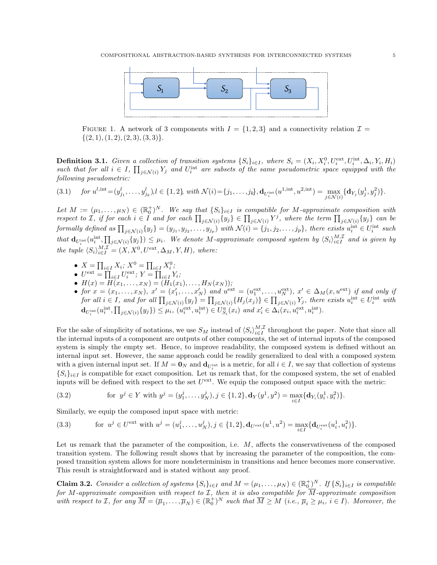<span id="page-4-0"></span>

FIGURE 1. A network of 3 components with  $I = \{1, 2, 3\}$  and a connectivity relation  $\mathcal{I} =$  $\{(2, 1), (1, 2), (2, 3), (3, 3)\}.$ 

<span id="page-4-2"></span>**Definition 3.1.** Given a collection of transition systems  $\{S_i\}_{i\in I}$ , where  $S_i = (X_i, X_i^0, U_i^{\text{ext}}, U_i^{\text{int}}, \Delta_i, Y_i, H_i)$ such that for all  $i \in I$ ,  $\prod_{j \in \mathcal{N}(i)} Y_j$  and  $U_i^{\text{int}}$  are subsets of the same pseudometric space equipped with the following pseudometric:

$$
(3.1) \quad \text{for } u^{l, \text{int}} = (y_{j_1}^l, \dots, y_{j_k}^l), l \in \{1, 2\}, \text{ with } \mathcal{N}(i) = \{j_1, \dots, j_k\}, \mathbf{d}_{U_i^{\text{int}}}(u^{1, \text{int}}, u^{2, \text{int}}) = \max_{j \in \mathcal{N}(i)} \{\mathbf{d}_{Y_j}(y_j^1, y_j^2)\}.
$$

Let  $M := (\mu_1, \ldots, \mu_N) \in (\mathbb{R}_0^+)^N$ . We say that  $\{S_i\}_{i \in I}$  is compatible for M-approximate composition with respect to *I*, if for each  $i \in I$  and for each  $\prod_{j \in \mathcal{N}(i)} \{y_j\} \in \prod_{j \in \mathcal{N}(i)} Y^j$ , where the term  $\prod_{j \in \mathcal{N}(i)} \{y_j\}$  can be formally defined as  $\prod_{j \in \mathcal{N}(i)} \{y_j\} = (y_{j_1}, y_{j_2}, \dots, y_{j_p})$  with  $\mathcal{N}(i) = \{j_1, j_2, \dots, j_p\}$ , there exists  $u_i^{\text{int}} \in U_i^{\text{int}}$  such that  $\mathbf{d}_{U_i^{\text{int}}}(u_i^{\text{int}},\prod_{j\in\mathcal{N}(i)}\{y_j\}) \leq \mu_i$ . We denote M-approximate composed system by  $\langle S_i\rangle_{i\in I}^{M,\mathcal{I}}$  and is given by the tuple  $\langle S_i \rangle_{i \in I}^{M,\mathcal{I}} = (X, X^0, U^{\text{ext}}, \Delta_M, Y, H)$ , where:

- $X = \prod_{i \in I} X_i; X^0 = \prod_{i \in I} X_i^0;$
- $U^{\text{ext}} = \prod_{i \in I} U_i^{\text{ext}}$ ;  $Y = \prod_{i \in I} Y_i$ ;
- $H(x) = H(x_1, \ldots, x_N) = (H_1(x_1), \ldots, H_N(x_N));$
- for  $x = (x_1, \ldots, x_N)$ ,  $x' = (x'_1, \ldots, x'_N)$  and  $u^{\text{ext}} = (u_1^{\text{ext}}, \ldots, u_N^{\text{ext}})$ ,  $x' \in \Delta_M(x, u^{\text{ext}})$  if and only if for all  $i \in I$ , and for all  $\prod_{j \in \mathcal{N}(i)} \{y_j\} = \prod_{j \in \mathcal{N}(i)} \{H_j(x_j)\} \in \prod_{j \in \mathcal{N}(i)} Y_j$ , there exists  $u_i^{\text{int}} \in U_i^{\text{int}}$  with  $\mathbf{d}_{U_i^{\text{int}}}(u_i^{\text{int}}, \prod_{j \in \mathcal{N}(i)} \{y_j\}) \leq \mu_i, \ (u_i^{\text{ext}}, u_i^{\text{int}}) \in U_{S_i}^a(x_i) \ and \ x_i' \in \Delta_i(x_i, u_i^{\text{ext}}, u_i^{\text{int}}).$

For the sake of simplicity of notations, we use  $S_M$  instead of  $\langle S_i \rangle_{i \in I}^{M,\mathcal{I}}$  throughout the paper. Note that since all the internal inputs of a component are outputs of other components, the set of internal inputs of the composed system is simply the empty set. Hence, to improve readability, the composed system is defined without an internal input set. However, the same approach could be readily generalized to deal with a composed system with a given internal input set. If  $M = 0_N$  and  $\mathbf{d}_{U_i^{\text{int}}}$  is a metric, for all  $i \in I$ , we say that collection of systems  $\{S_i\}_{i\in I}$  is compatible for exact composition. Let us remark that, for the composed system, the set of enabled inputs will be defined with respect to the set  $U^{\text{ext}}$ . We equip the composed output space with the metric:

<span id="page-4-1"></span>(3.2) for 
$$
y^j \in Y
$$
 with  $y^j = (y_1^j, \dots, y_N^j), j \in \{1, 2\}, \mathbf{d}_Y(y^1, y^2) = \max_{i \in I} {\{\mathbf{d}_{Y_i}(y_i^1, y_i^2)\}}.$ 

Similarly, we equip the composed input space with metric:

(3.3) for 
$$
u^j \in U^{\text{ext}}
$$
 with  $u^j = (u_1^j, \dots, u_N^j), j \in \{1, 2\}, \mathbf{d}_{U^{\text{ext}}}(u^1, u^2) = \max_{i \in I} \{ \mathbf{d}_{U_i^{\text{ext}}}(u_i^1, u_i^2) \}.$ 

Let us remark that the parameter of the composition, i.e. M, affects the conservativeness of the composed transition system. The following result shows that by increasing the parameter of the composition, the composed transition system allows for more nondeterminism in transitions and hence becomes more conservative. This result is straightforward and is stated without any proof.

**Claim 3.2.** Consider a collection of systems  $\{S_i\}_{i\in I}$  and  $M = (\mu_1, \ldots, \mu_N) \in (\mathbb{R}_0^+)^N$ . If  $\{S_i\}_{i\in I}$  is compatible for M-approximate composition with respect to  $\mathcal{I}$ , then it is also compatible for  $\overline{M}$ -approximate composition with respect to *I*, for any  $\overline{M} = (\overline{\mu}_1, \ldots, \overline{\mu}_N) \in (\mathbb{R}_0^+)^N$  such that  $\overline{M} \geq M$  (i.e.,  $\overline{\mu}_i \geq \mu_i$ ,  $i \in I$ ). Moreover, the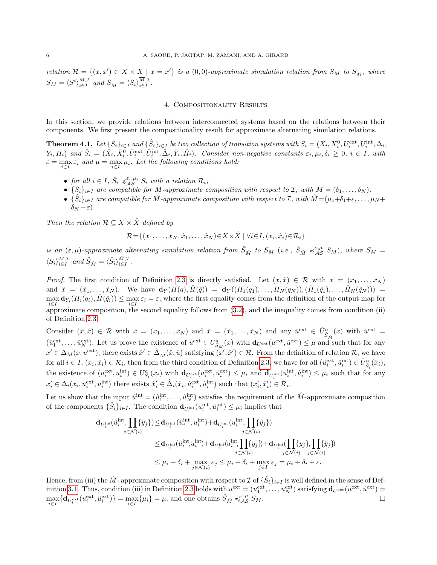relation  $\mathcal{R} = \{(x, x') \in X \times X \mid x = x'\}$  is a  $(0, 0)$ -approximate simulation relation from  $S_M$  to  $S_{\overline{M}}$ , where  $S_M = \langle S^i \rangle_{i \in I}^{M,\mathcal{I}}$  and  $S_{\overline{M}} = \langle S_i \rangle_{i \in I}^{M,\mathcal{I}}$ .

#### 4. Compositionality Results

<span id="page-5-1"></span>In this section, we provide relations between interconnected systems based on the relations between their components. We first present the compositionality result for approximate alternating simulation relations.

<span id="page-5-0"></span>**Theorem 4.1.** Let  $\{S_i\}_{i\in I}$  and  $\{\hat{S}_i\}_{i\in I}$  be two collection of transition systems with  $S_i = (X_i, X_i^0, U_i^{\text{ext}}, U_i^{\text{int}}, \Delta_i,$  $(Y_i, H_i)$  and  $\hat{S}_i = (\hat{X}_i, \hat{X}_i^0, \hat{U}_i^{\text{ext}}, \hat{U}_i^{\text{int}}, \hat{\Delta}_i, \hat{Y}_i, \hat{H}_i)$ . Consider non-negative constants  $\varepsilon_i, \mu_i, \delta_i \geq 0, i \in I$ , with  $\varepsilon = \max_{i \in I} \varepsilon_i$  and  $\mu = \max_{i \in I} \mu_i$ . Let the following conditions hold:

- for all  $i \in I$ ,  $\hat{S}_i \preccurlyeq_{\mathcal{AS}}^{\varepsilon_i,\mu_i} S_i$  with a relation  $\mathcal{R}_i$ ;
- $\{S_i\}_{i\in I}$  are compatible for M-approximate composition with respect to I, with  $M = (\delta_1, \ldots, \delta_N)$ ;
- $\{\hat{S}_i\}_{i\in I}$  are compatible for  $\hat{M}$ -approximate composition with respect to  $\mathcal{I}$ , with  $\hat{M} = (\mu_1 + \delta_1 + \varepsilon, \dots, \mu_N + \delta_N)$  $\delta_N + \varepsilon$ ).

Then the relation  $\mathcal{R} \subseteq X \times \hat{X}$  defined by

$$
\mathcal{R} = \{(x_1, \ldots, x_N, \hat{x}_1, \ldots, \hat{x}_N) \in X \times \hat{X} \mid \forall i \in I, (x_i, \hat{x}_i) \in \mathcal{R}_i\}
$$

is an  $(\varepsilon, \mu)$ -approximate alternating simulation relation from  $\hat{S}_{\hat{M}}$  to  $S_M$  (i.e.,  $\hat{S}_{\hat{M}} \preccurlyeq_{\mathcal{AS}}^{\varepsilon, \mu} S_M$ ), where  $S_M$  $\langle S_i \rangle_{i \in I}^{M, \mathcal{I}}$  and  $\hat{S}_{\hat{M}} = \langle \hat{S}_i \rangle_{i \in I}^{\hat{M}, \mathcal{I}}$ .

*Proof.* The first condition of Definition [2.3](#page-3-0) is directly satisfied. Let  $(x, \hat{x}) \in \mathcal{R}$  with  $x = (x_1, \ldots, x_N)$ and  $\hat{x} = (\hat{x}_1, \ldots, \hat{x}_N)$ . We have  $\mathbf{d}_Y(H(q), \hat{H}(\hat{q})) = \mathbf{d}_Y((H_1(q_1), \ldots, H_N(q_N)), (\hat{H}_1(\hat{q}_1), \ldots, \hat{H}_N(\hat{q}_N))) =$  $\max_{i\in I} \mathbf{d}_{Y_i}(H_i(q_i), \hat{H}(\hat{q}_i)) \leq \max_{i\in I} \varepsilon_i = \varepsilon$ , where the first equality comes from the definition of the output map for approximate composition, the second equality follows from [\(3.2\)](#page-4-1), and the inequality comes from condition (ii) of Definition [2.3.](#page-3-0)

Consider  $(x, \hat{x}) \in \mathcal{R}$  with  $x = (x_1, \ldots, x_N)$  and  $\hat{x} = (\hat{x}_1, \ldots, \hat{x}_N)$  and any  $\hat{u}^{\text{ext}} \in \hat{U}^a_{\hat{S}_{\hat{M}}}(x)$  with  $\hat{u}^{\text{ext}} =$  $(\hat{u}_1^{\text{ext}}, \dots, \hat{u}_N^{\text{ext}})$ . Let us prove the existence of  $u^{\text{ext}} \in U_{S_M}^a(x)$  with  $\mathbf{d}_{U^{\text{ext}}}(u^{\text{ext}}, \hat{u}^{\text{ext}}) \leq \mu$  and such that for any  $x' \in \Delta_M(x, u^{\text{ext}})$ , there exists  $\hat{x}' \in \hat{\Delta}_{\hat{M}}(\hat{x}, \hat{u})$  satisfying  $(x', \hat{x}') \in \mathcal{R}$ . From the definition of relation  $\mathcal{R}$ , we have for all  $i \in I$ ,  $(x_i, \hat{x}_i) \in \mathcal{R}_i$ , then from the third condition of Definition [2.3,](#page-3-0) we have for all  $(\hat{u}_i^{\text{ext}}, \hat{u}_i^{\text{int}}) \in \hat{U}_{\hat{S}_i}^a(\hat{x}_i)$ , the existence of  $(u_i^{\text{ext}}, u_i^{\text{int}}) \in U_{S_i}^a(x_i)$  with  $\mathbf{d}_{U_i^{\text{ext}}}(u_i^{\text{ext}}, \hat{u}_i^{\text{ext}}) \leq \mu_i$  and  $\mathbf{d}_{U_i^{\text{int}}}(u_i^{\text{int}}, \hat{u}_i^{\text{int}}) \leq \mu_i$  such that for any  $x'_i \in \Delta_i(x_i, u_i^{\text{ext}}, u_i^{\text{int}})$  there exists  $\hat{x}'_i \in \hat{\Delta}_i(\hat{x}_i, \hat{u}_i^{\text{ext}}, \hat{u}_i^{\text{int}})$  such that  $(x'_i, \hat{x}'_i) \in \mathcal{R}_i$ .

Let us show that the input  $\hat{u}^{\text{int}} = (\hat{u}_1^{\text{int}}, \dots, \hat{u}_N^{\text{int}})$  satisfies the requirement of the  $\hat{M}$ -approximate composition of the components  $\{\hat{S}_i\}_{i\in I}$ . The condition  $\mathbf{d}_{U_i^{\text{int}}}(\hat{u}_i^{\text{int}}, \hat{u}_i^{\text{int}}) \leq \mu_i$  implies that

$$
\begin{aligned} \mathbf{d}_{U_i^{\text{int}}}(\hat{u}_i^{\text{int}},\prod_i\{\hat{y}_j\})\!\leq&\!\mathbf{d}_{U_i^{\text{int}}}(\hat{u}_i^{\text{int}},u_i^{\text{int}})\!+\!\mathbf{d}_{U_i^{\text{int}}}(u_i^{\text{int}},\prod_i\{\hat{y}_j\}) \\ \!\leq&\!\mathbf{d}_{U_i^{\text{int}}}(\hat{u}_i^{\text{int}},u_i^{\text{int}})\!+\!\mathbf{d}_{U_i^{\text{int}}}(\hat{u}_i^{\text{int}},\prod_i\{y_j\})\!+\!\mathbf{d}_{U_i^{\text{int}}}(\prod_i\{y_j\},\prod_i\{\hat{y}_j\}) \\ \!\leq&\!\mathbf{d}_{U_i^{\text{int}}}(\hat{u}_i^{\text{int}},u_i^{\text{int}})\!+\!\mathbf{d}_{U_i^{\text{int}}}(\hat{u}_i^{\text{int}},\prod_{j\in\mathcal{N}(i)}\{y_j\})\!+\!\mathbf{d}_{U_i^{\text{int}}}(\prod_{j\in\mathcal{N}(i)}\{y_j\})\!+\!\mathbf{d}_{U_i^{\text{int}}}(\hat{u}_i^{\text{int}})\}\!\leq&\!\mu_i+\delta_i+\max_{j\in\mathcal{N}(i)}\varepsilon_j\leq\mu_i+\delta_i+\max_{j\in I}\varepsilon_j=\mu_i+\delta_i+\varepsilon.\end{aligned}
$$

Hence, from (iii) the  $\hat{M}$ - approximate composition with respect to  $\mathcal{I}$  of  $\{\hat{S}_i\}_{i\in I}$  is well defined in the sense of Def-inition [3.1.](#page-4-2) Thus, condition (iii) in Definition [2.3](#page-3-0) holds with  $u^{\text{ext}} = (u_1^{\text{ext}}, \dots, u_N^{\text{ext}})$  satisfying  $\mathbf{d}_{U^{\text{ext}}}(u^{\text{ext}}, \hat{u}^{\text{ext}}) =$  $\max_{i \in I} \{ \mathbf{d}_{U_i^{\text{ext}}} (u_i^{\text{ext}}, \hat{u}_i^{\text{ext}}) \} = \max_{i \in I} \{ \mu_i \} = \mu$ , and one obtains  $\hat{S}_{\hat{M}} \preccurlyeq_{\mathcal{AS}}^{\varepsilon, \mu} S_M$ .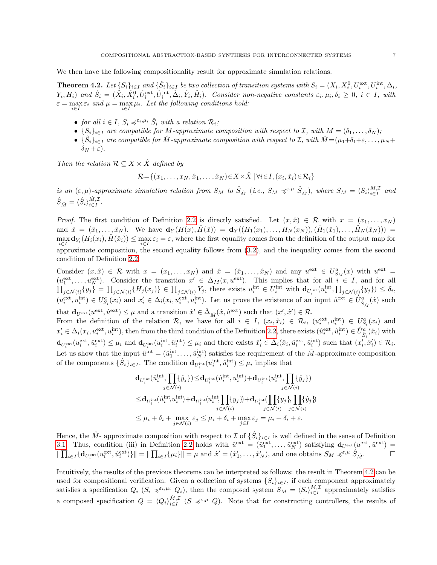We then have the following compositionality result for approximate simulation relations.

<span id="page-6-0"></span>**Theorem 4.2.** Let  $\{S_i\}_{i\in I}$  and  $\{\hat{S}_i\}_{i\in I}$  be two collection of transition systems with  $S_i = (X_i, X_i^0, U_i^{\text{ext}}, U_i^{\text{int}}, \Delta_i,$  $(Y_i, H_i)$  and  $\hat{S}_i = (\hat{X}_i, \hat{X}_i^0, \hat{U}_i^{\text{ext}}, \hat{U}_i^{\text{int}}, \hat{\Delta}_i, \hat{Y}_i, \hat{H}_i)$ . Consider non-negative constants  $\varepsilon_i, \mu_i, \delta_i \geq 0, i \in I$ , with  $\varepsilon = \max_{i \in I} \varepsilon_i$  and  $\mu = \max_{i \in I} \mu_i$ . Let the following conditions hold:

- for all  $i \in I$ ,  $S_i \preccurlyeq^{\varepsilon_i,\mu_i} \hat{S}_i$  with a relation  $\mathcal{R}_i$ ;
- $\{S_i\}_{i\in I}$  are compatible for M-approximate composition with respect to I, with  $M = (\delta_1, \ldots, \delta_N)$ ;
- $\{\hat{S}_i\}_{i\in I}$  are compatible for  $\hat{M}$ -approximate composition with respect to  $\mathcal{I}$ , with  $\hat{M} = (\mu_1 + \delta_1 + \varepsilon, \dots, \mu_N + \delta_N)$  $\delta_N + \varepsilon$ ).

Then the relation  $\mathcal{R} \subseteq X \times \hat{X}$  defined by

$$
\mathcal{R} = \{(x_1, \ldots, x_N, \hat{x}_1, \ldots, \hat{x}_N) \in X \times \hat{X} \mid \forall i \in I, (x_i, \hat{x}_i) \in \mathcal{R}_i\}
$$

is an  $(\varepsilon, \mu)$ -approximate simulation relation from  $S_M$  to  $\hat{S}_{\hat{M}}$  (i.e.,  $S_M \preccurlyeq^{\varepsilon, \mu} \hat{S}_{\hat{M}}$ ), where  $S_M = \langle S_i \rangle_{i \in I}^{M, \mathcal{I}}$  and  $\hat{S}_{\hat{M}} = \langle \hat{S}_i \rangle_{i \in I}^{\hat{M}, \mathcal{I}}.$ 

*Proof.* The first condition of Definition [2.2](#page-2-0) is directly satisfied. Let  $(x, \hat{x}) \in \mathcal{R}$  with  $x = (x_1, \ldots, x_N)$ and  $\hat{x} = (\hat{x}_1, \ldots, \hat{x}_N)$ . We have  $\mathbf{d}_Y(H(x), \hat{H}(\hat{x})) = \mathbf{d}_Y((H_1(x_1), \ldots, H_N(x_N)), (\hat{H}_1(\hat{x}_1), \ldots, \hat{H}_N(\hat{x}_N))) =$  $\max_{i\in I} \mathbf{d}_{Y_i}(H_i(x_i), \hat{H}(\hat{x}_i)) \leq \max_{i\in I} \varepsilon_i = \varepsilon$ , where the first equality comes from the definition of the output map for approximate composition, the second equality follows from [\(3.2\)](#page-4-1), and the inequality comes from the second condition of Definition [2.2.](#page-2-0)

Consider  $(x, \hat{x}) \in \mathcal{R}$  with  $x = (x_1, \ldots, x_N)$  and  $\hat{x} = (\hat{x}_1, \ldots, \hat{x}_N)$  and any  $u^{\text{ext}} \in U_{S_M}^a(x)$  with  $u^{\text{ext}} =$  $(u_1^{\text{ext}}, \ldots, u_N^{\text{ext}})$ . Consider the transition  $x' \in \Delta_M(x, u^{\text{ext}})$  $\Pi$ ). This implies that for all  $i \in I$ , and for all  $\{y_j\} = \prod_{j \in \mathcal{N}(i)} \{H_j(x_j)\} \in \prod_{j \in \mathcal{N}(i)} Y_j$ , there exists  $u_i^{\text{int}} \in U_i^{\text{int}}$  with  $\mathbf{d}_{U_i^{\text{int}}}(u_i^{\text{int}}, \prod_{j \in \mathcal{N}(i)} \{y_j\}) \leq \delta_i$ ,  $(u_i^{\text{ext}}, u_i^{\text{int}}) \in U_{S_i}^a(x_i)$  and  $x_i' \in \Delta_i(x_i, u_i^{\text{ext}}, u_i^{\text{int}})$ . Let us prove the existence of an input  $\hat{u}^{\text{ext}} \in \hat{U}_{\hat{S}_{\hat{M}}}^a(\hat{x})$  such that  $\mathbf{d}_{U^{\text{ext}}}(u^{\text{ext}}, \hat{u}^{\text{ext}}) \leq \mu$  and a transition  $\hat{x}' \in \hat{\Delta}_{\hat{M}}(\hat{x}, \hat{u}^{\text{ext}})$  such that  $(x', \hat{x}') \in \mathcal{R}$ .

From the definition of the relation R, we have for all  $i \in I$ ,  $(x_i, \hat{x}_i) \in \mathcal{R}_i$ ,  $(u_i^{\text{ext}}, u_i^{\text{int}}) \in U_{S_i}^a(x_i)$  and  $x'_i \in \Delta_i(x_i, u_i^{\text{ext}}, u_i^{\text{int}})$ , then from the third condition of the Definition [2.2,](#page-2-0) there exists  $(\hat{u}_i^{\text{ext}}, \hat{u}_i^{\text{int}}) \in \hat{U}_{\hat{S}_i}^a(\hat{x}_i)$  with  $\mathbf{d}_{U_i^{\text{ext}}}(u_i^{\text{ext}}, \hat{u}_i^{\text{ext}}) \leq \mu_i$  and  $\mathbf{d}_{U_i^{\text{int}}}(\hat{u}_i^{\text{int}}, \hat{u}_i^{\text{int}}) \leq \mu_i$  and there exists  $\hat{x}'_i \in \hat{\Delta}_i(\hat{x}_i, \hat{u}_i^{\text{ext}}, \hat{u}_i^{\text{int}})$  such that  $(x'_i, \hat{x}'_i) \in \mathcal{R}_i$ . Let us show that the input  $\hat{u}^{\text{int}} = (\hat{u}_1^{\text{int}}, \dots, \hat{u}_N^{\text{int}})$  satisfies the requirement of the  $\hat{M}$ -approximate composition of the components  $\{\hat{S}_i\}_{i\in I}$ . The condition  $\mathbf{d}_{U_i^{\text{int}}}(\hat{u}_i^{\text{int}}, \hat{u}_i^{\text{int}}) \leq \mu_i$  implies that

$$
\begin{aligned} &\mathbf{d}_{U_i^{\text{int}}}(\hat{u}_i^{\text{int}},\prod_i\{\hat{y}_j\})\!\leq\! \mathbf{d}_{U_i^{\text{int}}}(\hat{u}_i^{\text{int}},u_i^{\text{int}})+\mathbf{d}_{U_i^{\text{int}}}(u_i^{\text{int}},\prod_i\{\hat{y}_j\})\\ &\leq& \mathbf{d}_{U_i^{\text{int}}}(\hat{u}_i^{\text{int}},u_i^{\text{int}})+\mathbf{d}_{U_i^{\text{int}}}(\boldsymbol{u}_i^{\text{int}},\prod_i\{y_j\})+\mathbf{d}_{U_i^{\text{int}}}(\prod_i\{y_j\},\prod_i\{\hat{y}_j\})\\ &\leq& \mu_i+\delta_i+\max_{j\in\mathcal{N}(i)}\varepsilon_j\leq \mu_i+\delta_i+\max_{j\in I}\varepsilon_j=\mu_i+\delta_i+\varepsilon. \end{aligned}
$$

Hence, the  $\hat{M}$ - approximate composition with respect to  $\mathcal I$  of  $\{\hat{S}_i\}_{i\in I}$  is well defined in the sense of Definition [3.1.](#page-4-2) Thus, condition (iii) in Definition [2.2](#page-2-0) holds with  $\hat{u}^{\text{ext}} = (\hat{u}_1^{\text{ext}}, \dots, \hat{u}_N^{\text{ext}})$  satisfying  $\mathbf{d}_{U^{\text{ext}}}(u^{\text{ext}}, \hat{u}^{\text{ext}}) =$  $\|\prod_{i\in I} \{d_{U_i^{\text{ext}}}(u_i^{\text{ext}}, \hat{u}_i^{\text{ext}})\}\| = \|\prod_{i\in I} \{\mu_i\}\| = \mu$  and  $\hat{x}' = (\hat{x}'_1, \dots, \hat{x}'_N)$ , and one obtains  $S_M \preccurlyeq^{\varepsilon, \mu} \hat{S}_{\hat{M}}$ .

Intuitively, the results of the previous theorems can be interpreted as follows: the result in Theorem [4.2](#page-6-0) can be used for compositional verification. Given a collection of systems  $\{S_i\}_{i\in I}$ , if each component approximately satisfies a specification  $Q_i$   $(S_i \preccurlyeq^{\varepsilon_i,\mu_i} Q_i)$ , then the composed system  $S_M = \langle S_i \rangle_{i \in I}^{M,\mathcal{I}}$  approximately satisfies a composed specification  $Q = \langle Q_i \rangle_{i \in I}^{\hat{M}, \mathcal{I}}$   $(S \preccurlyeq^{\varepsilon,\mu} Q)$ . Note that for constructing controllers, the results of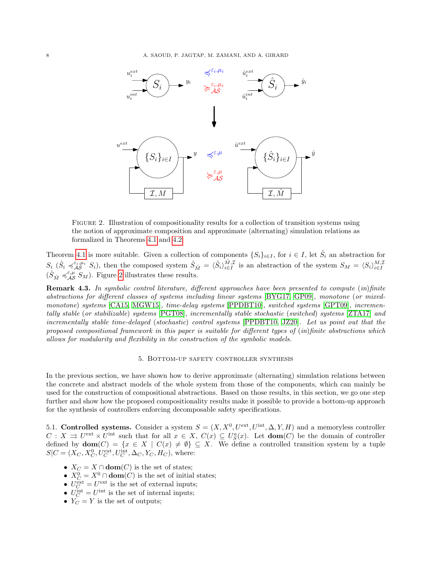<span id="page-7-0"></span>

Figure 2. Illustration of compositionality results for a collection of transition systems using the notion of approximate composition and approximate (alternating) simulation relations as formalized in Theorems [4.1](#page-5-0) and [4.2.](#page-6-0)

Theorem [4.1](#page-5-0) is more suitable. Given a collection of components  $\{S_i\}_{i\in I}$ , for  $i \in I$ , let  $\hat{S}_i$  an abstraction for  $S_i$   $(\hat{S}_i \preccurlyeq_{i\mathcal{S}}^{\varepsilon_i,\mu_i} S_i)$ , then the composed system  $\hat{S}_{\hat{M}} = \langle \hat{S}_i \rangle_{i \in I}^{\hat{M},\mathcal{I}}$  is an abstraction of the system  $S_M = \langle S_i \rangle_{i \in I}^{\hat{M},\mathcal{I}}$ <br> $(\hat{S}_{\hat{M}} \preccurlyeq_{i\mathcal{A}}^{\varepsilon,\mu} S_M)$ . Figure [2](#page-7-0) il

**Remark 4.3.** In symbolic control literature, different approaches have been presented to compute (in)finite abstractions for different classes of systems including linear systems [\[BYG17,](#page-16-0) [GP09\]](#page-16-14), monotone (or mixed-monotone) systems [\[CA15,](#page-16-18) [MGW15\]](#page-17-16), time-delay systems [\[PPDBT10\]](#page-17-20), switched systems [\[GPT09\]](#page-16-19), incrementally stable (or stabilizable) systems [\[PGT08\]](#page-17-21), incrementally stable stochastic (switched) systems [\[ZTA17\]](#page-17-18) and incrementally stable time-delayed (stochastic) control systems [\[PPDBT10,](#page-17-20) [JZ20\]](#page-16-20). Let us point out that the proposed compositional framework in this paper is suitable for different types of (in)finite abstractions which allows for modularity and flexibility in the construction of the symbolic models.

## 5. Bottom-up safety controller synthesis

<span id="page-7-1"></span>In the previous section, we have shown how to derive approximate (alternating) simulation relations between the concrete and abstract models of the whole system from those of the components, which can mainly be used for the construction of compositional abstractions. Based on those results, in this section, we go one step further and show how the proposed compositionality results make it possible to provide a bottom-up approach for the synthesis of controllers enforcing decomposable safety specifications.

5.1. Controlled systems. Consider a system  $S = (X, X^0, U^{\text{ext}}, U^{\text{int}}, \Delta, Y, H)$  and a memoryless controller  $C: X \rightrightarrows U^{\text{ext}} \times U^{\text{int}}$  such that for all  $x \in X$ ,  $C(x) \subseteq U^a_S(x)$ . Let  $\text{dom}(C)$  be the domain of controller defined by  $\textbf{dom}(C) = \{x \in X \mid C(x) \neq \emptyset\} \subseteq X$ . We define a controlled transition system by a tuple  $S|C = (X_C, X_C^0, U_C^{\text{ext}}, U_C^{\text{int}}, \Delta_C, Y_C, H_C)$ , where:

- $X_C = X \cap \text{dom}(C)$  is the set of states;
- $X_C^0 = X^0 \cap \text{dom}(C)$  is the set of initial states;
- $U_C^{\text{ext}} = U_{\cdot}^{\text{ext}}$  is the set of external inputs;
- $U_C^{\text{int}} = U^{\text{int}}$  is the set of internal inputs;
- $\tilde{Y_C} = Y$  is the set of outputs;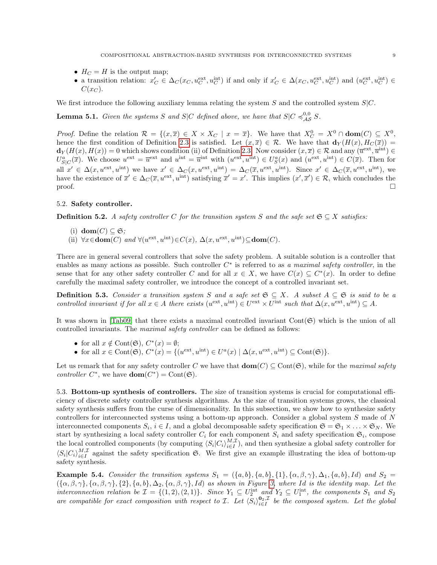- $H_C = H$  is the output map;
- a transition relation:  $x'_C \in \Delta_C(x_C, u_C^{\text{ext}}, u_C^{\text{int}})$  if and only if  $x'_C \in \Delta(x_C, u_C^{\text{ext}}, u_C^{\text{int}})$  and  $(u_C^{\text{ext}}, u_C^{\text{int}}) \in$  $C(x_C)$ .

We first introduce the following auxiliary lemma relating the system S and the controlled system  $S/C$ .

<span id="page-8-1"></span>**Lemma 5.1.** Given the systems S and S|C defined above, we have that  $S|C \preccurlyeq_{AS}^{0,0} S$ .

*Proof.* Define the relation  $\mathcal{R} = \{(x,\overline{x}) \in X \times X_C \mid x = \overline{x}\}$ . We have that  $X_C^0 = X^0 \cap \textbf{dom}(C) \subseteq X^0$ , hence the first condition of Definition [2.3](#page-3-0) is satisfied. Let  $(x,\overline{x}) \in \mathcal{R}$ . We have that  $\mathbf{d}_Y(H(x), H_C(\overline{x})) =$  $\mathbf{d}_Y(H(x), H(x)) = 0$  which shows condition (ii) of Definition [2.3.](#page-3-0) Now consider  $(x, \overline{x}) \in \mathcal{R}$  and any  $(\overline{u}^{\text{ext}}, \overline{u}^{\text{int}}) \in$  $U_{S|C}^{a}(\overline{x})$ . We choose  $u^{\text{ext}} = \overline{u}^{\text{ext}}$  and  $u^{\text{int}} = \overline{u}^{\text{int}}$  with  $(u^{\text{ext}}, u^{\text{int}}) \in U_{S}^{a}(x)$  and  $(u^{\text{ext}}, u^{\text{int}}) \in C(\overline{x})$ . Then for all  $x' \in \Delta(x, u^{\text{ext}}, u^{\text{int}})$  we have  $x' \in \Delta_{\mathcal{C}}(x, u^{\text{ext}}, u^{\text{int}}) = \Delta_{\mathcal{C}}(\overline{x}, u^{\text{ext}}, u^{\text{int}})$ . Since  $x' \in \Delta_{\mathcal{C}}(\overline{x}, u^{\text{ext}}, u^{\text{int}})$ , we have the existence of  $\overline{x}' \in \Delta_C(\overline{x}, u^{\text{ext}}, u^{\text{int}})$  satisfying  $\overline{x}' = x'$ . This implies  $(x', \overline{x}') \in \mathcal{R}$ , which concludes the proof.  $\Box$ 

### 5.2. Safety controller.

<span id="page-8-0"></span>**Definition 5.2.** A safety controller C for the transition system S and the safe set  $\mathfrak{S} \subseteq X$  satisfies:

- (i)  $\textbf{dom}(C) \subseteq \mathfrak{S}$ ;
- (ii)  $\forall x \in \text{dom}(C)$  and  $\forall (u^{\text{ext}}, u^{\text{int}}) \in C(x)$ ,  $\Delta(x, u^{\text{ext}}, u^{\text{int}}) \subseteq \text{dom}(C)$ .

There are in general several controllers that solve the safety problem. A suitable solution is a controller that enables as many actions as possible. Such controller  $C^*$  is referred to as a maximal safety controller, in the sense that for any other safety controller C and for all  $x \in X$ , we have  $C(x) \subseteq C^*(x)$ . In order to define carefully the maximal safety controller, we introduce the concept of a controlled invariant set.

**Definition 5.3.** Consider a transition system S and a safe set  $\mathfrak{S} \subseteq X$ . A subset  $A \subseteq \mathfrak{S}$  is said to be a controlled invariant if for all  $x \in A$  there exists  $(u^{\text{ext}}, u^{\text{int}}) \in U^{\text{ext}} \times U^{\text{int}}$  such that  $\Delta(x, u^{\text{ext}}, u^{\text{int}}) \subseteq A$ .

It was shown in [\[Tab09\]](#page-17-0) that there exists a maximal controlled invariant  $Cont(\mathfrak{S})$  which is the union of all controlled invariants. The maximal safety controller can be defined as follows:

- for all  $x \notin \text{Cont}(\mathfrak{S}), C^*(x) = \emptyset;$
- for all  $x \in \text{Cont}(\mathfrak{S}), C^*(x) = \{ (u^{\text{ext}}, u^{\text{int}}) \in U^a(x) \mid \Delta(x, u^{\text{ext}}, u^{\text{int}}) \subseteq \text{Cont}(\mathfrak{S}) \}.$

Let us remark that for any safety controller C we have that  $\text{dom}(C) \subseteq \text{Cont}(\mathfrak{S})$ , while for the maximal safety *controller*  $C^*$ , we have **dom** $(C^*)$  = Cont $(\mathfrak{S})$ .

5.3. Bottom-up synthesis of controllers. The size of transition systems is crucial for computational efficiency of discrete safety controller synthesis algorithms. As the size of transition systems grows, the classical safety synthesis suffers from the curse of dimensionality. In this subsection, we show how to synthesize safety controllers for interconnected systems using a bottom-up approach. Consider a global system S made of N interconnected components  $S_i$ ,  $i \in I$ , and a global decomposable safety specification  $\mathfrak{S} = \mathfrak{S}_1 \times \ldots \times \mathfrak{S}_N$ . We start by synthesizing a local safety controller  $C_i$  for each component  $S_i$  and safety specification  $\mathfrak{S}_i$ , compose the local controlled components (by computing  $\langle S_i | C_i \rangle_{i \in I}^{M,\mathcal{I}}$ ), and then synthesize a global safety controller for  $\langle S_i | C_i \rangle_{i \in I}^{M,\mathcal{I}}$  against the safety specification G. We first give an example illustrating the idea of bottom-up safety synthesis.

Example 5.4. Consider the transition systems  $S_1 = (\{a, b\}, \{a, b\}, \{1\}, \{\alpha, \beta, \gamma\}, \Delta_1, \{a, b\}, Id)$  and  $S_2 =$  $(\{\alpha,\beta,\gamma\},\{\alpha,\beta,\gamma\},\{2\},\{a,b\},\Delta_2,\{\alpha,\beta,\gamma\},Id)$  as shown in Figure [3,](#page-9-0) where Id is the identity map. Let the interconnection relation be  $\mathcal{I} = \{(1,2),(2,1)\}$ . Since  $Y_1 \subseteq U_2^{\text{int}}$  and  $Y_2 \subseteq U_1^{\text{int}}$ , the components  $S_1$  and  $S_2$ are compatible for exact composition with respect to *I*. Let  $\langle S_i \rangle_{i \in I}^{0_2, \mathcal{I}}$  be the composed system. Let the global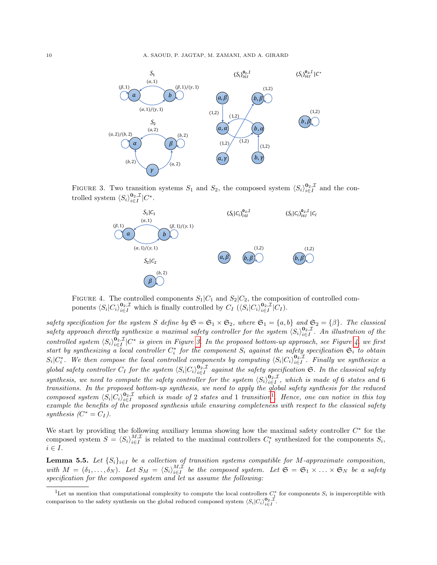<span id="page-9-0"></span>

FIGURE 3. Two transition systems  $S_1$  and  $S_2$ , the composed system  $\langle S_i \rangle_{i \in I}^{0_2, \mathcal{I}}$  and the controlled system  $\langle S_i \rangle_{i \in I}^{\mathbf{0}_2, \mathcal{I}} | C^*$ .



FIGURE 4. The controlled components  $S_1|C_1$  and  $S_2|C_2$ , the composition of controlled components  $\langle S_i | C_i \rangle_{i \in I}^{\mathbf{0}_2, \mathcal{I}}$  which is finally controlled by  $C_I$   $(\langle S_i | C_i \rangle_{i \in I}^{\mathbf{0}_2, \mathcal{I}} | C_I)$ .

safety specification for the system S define by  $\mathfrak{S} = \mathfrak{S}_1 \times \mathfrak{S}_2$ , where  $\mathfrak{S}_1 = \{a, b\}$  and  $\mathfrak{S}_2 = \{\beta\}$ . The classical safety approach directly synthesize a maximal safety controller for the system  $\langle S_i \rangle_{i \in I}^{0_2, \mathcal{I}}$ . An illustration of the controlled system  $\langle S_i \rangle_{i \in I}^{0_2, \mathcal{I}} | C^*$  is given in Figure [3.](#page-9-0) In the proposed bottom-up approach, see Figure [4,](#page-9-0) we first start by synthesizing a local controller  $C_i^*$  for the component  $S_i$  against the safety specification  $\mathfrak{S}_i$  to obtain  $S_i|C_i^*$ . We then compose the local controlled components by computing  $\langle S_i|C_i\rangle_{i\in I}^{0_2,\mathcal{I}}$ . Finally we synthesize a global safety controller  $C_I$  for the system  $\langle S_i | C_i \rangle_{i \in I}^{0_2, \mathcal{I}}$  against the safety specification  $\mathfrak{S}$ . In the classical safety synthesis, we need to compute the safety controller for the system  $\langle S_i \rangle_{i \in I}^{\mathbf{0}_2, \mathcal{I}}$ , which is made of 6 states and 6 transitions. In the proposed bottom-up synthesis, we need to apply the global safety synthesis for the reduced composed system  $\langle S_i | C_i \rangle_{i \in I}^{0_2, \mathcal{I}}$  which is made of 2 states and [1](#page-9-1) transition<sup>1</sup>. Hence, one can notice in this toy example the benefits of the proposed synthesis while ensuring completeness with respect to the classical safety synthesis  $(C^* = C_I)$ .

We start by providing the following auxiliary lemma showing how the maximal safety controller  $C^*$  for the composed system  $S = \langle S_i \rangle_{i \in I}^{M,\mathcal{I}}$  is related to the maximal controllers  $C_i^*$  synthesized for the components  $S_i$ ,  $i \in I$ .

<span id="page-9-2"></span>**Lemma 5.5.** Let  $\{S_i\}_{i\in I}$  be a collection of transition systems compatible for M-approximate composition, with  $M = (\delta_1, \ldots, \delta_N)$ . Let  $S_M = \langle S_i \rangle_{i \in I}^{M,\mathcal{I}}$  be the composed system. Let  $\mathfrak{S} = \mathfrak{S}_1 \times \ldots \times \mathfrak{S}_N$  be a safety specification for the composed system and let us assume the following:

<span id="page-9-1"></span><sup>&</sup>lt;sup>1</sup>Let us mention that computational complexity to compute the local controllers  $C_i^*$  for components  $S_i$  is imperceptible with comparison to the safety synthesis on the global reduced composed system  $\langle S_i|C_i\rangle_{i\in I}^{\mathbf{0}_2,\mathcal{I}}$ .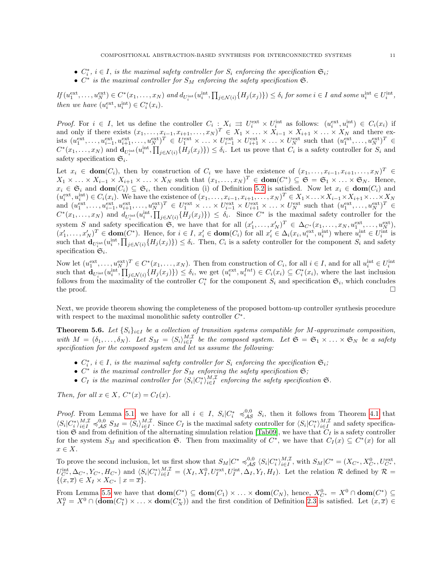- $C_i^*$ ,  $i \in I$ , is the maximal safety controller for  $S_i$  enforcing the specification  $\mathfrak{S}_i$ ;
- $C^*$  is the maximal controller for  $S_M$  enforcing the safety specification  $\mathfrak{S}$ .

 $If (u_1^{\text{ext}}, \ldots, u_N^{\text{ext}}) \in C^*(x_1, \ldots, x_N)$  and  $d_{U_i^{\text{int}}}(u_i^{\text{int}}, \prod_{j \in \mathcal{N}(i)} \{H_j(x_j)\}) \leq \delta_i$  for some  $i \in I$  and some  $u_i^{\text{int}} \in U_i^{\text{int}}$ , then we have  $(u_i^{\text{ext}}, u_i^{\text{int}}) \in C_i^*(x_i)$ .

*Proof.* For  $i \in I$ , let us define the controller  $C_i : X_i \implies U_i^{\text{ext}} \times U_i^{\text{int}}$  as follows:  $(u_i^{\text{ext}}, u_i^{\text{int}}) \in C_i(x_i)$  if and only if there exists  $(x_1, \ldots, x_{i-1}, x_{i+1}, \ldots, x_N)^T \in X_1 \times \ldots \times X_{i-1} \times X_{i+1} \times \ldots \times X_N$  and there exists  $(u_1^{\text{ext}},...,u_{i-1}^{\text{ext}},u_{i+1}^{\text{ext}},...,u_N^{\text{ext}})^T \in U_1^{\text{ext}} \times ... \times U_{i-1}^{\text{ext}} \times U_{i+1}^{\text{ext}} \times ... \times U_N^{\text{ext}}$  such that  $(u_1^{\text{ext}},...,u_N^{\text{ext}})^T \in$  $C^*(x_1,\ldots,x_N)$  and  $\mathbf{d}_{U_i^{\text{int}}}(\hat{u}_i^{\text{int}},\prod_{j\in\mathcal{N}(i)}\{H_j(x_j)\})\leq \delta_i$ . Let us prove that  $C_i$  is a safety controller for  $S_i$  and safety specification  $\mathfrak{S}_i$ .

Let  $x_i \in \text{dom}(C_i)$ , then by construction of  $C_i$  we have the existence of  $(x_1, \ldots, x_{i-1}, x_{i+1}, \ldots, x_N)^T \in$  $X_1 \times \ldots \times X_{i-1} \times X_{i+1} \times \ldots \times X_N$  such that  $(x_1, \ldots, x_N)^T \in \text{dom}(C^*) \subseteq \mathfrak{S} = \mathfrak{S}_1 \times \ldots \times \mathfrak{S}_N$ . Hence,  $x_i \in \mathfrak{S}_i$  and  $\textbf{dom}(C_i) \subseteq \mathfrak{S}_i$ , then condition (i) of Definition [5.2](#page-8-0) is satisfied. Now let  $x_i \in \textbf{dom}(C_i)$  and  $(u_i^{\text{ext}}, u_i^{\text{int}}) \in C_i(x_i)$ . We have the existence of  $(x_1, \ldots, x_{i-1}, x_{i+1}, \ldots, x_N)^T \in X_1 \times \ldots \times X_{i-1} \times X_{i+1} \times \ldots \times X_N$ and  $(u_1^{\text{ext}},...,u_{i-1}^{\text{ext}},u_{i+1}^{\text{ext}},...,u_N^{\text{ext}})^T \in U_1^{\text{ext}} \times ... \times U_{i-1}^{\text{ext}} \times U_{i+1}^{\text{ext}} \times ... \times U_N^{\text{ext}}$  such that  $(u_1^{\text{ext}},...,u_N^{\text{ext}})^T \in$  $C^*(x_1,\ldots,x_N)$  and  $d_{U_i^{\text{int}}}(\hat{u}_i^{\text{int}},\prod_{j\in\mathcal{N}(i)}\{H_j(x_j)\}) \leq \delta_i$ . Since  $C^*$  is the maximal safety controller for the system S and safety specification G, we have that for all  $(x'_1, \ldots, x'_N)^T \in \Delta_{C^*}(x_1, \ldots, x_N, u_1^{\text{ext}}, \ldots, u_N^{\text{ext}})$ ,  $(x'_1,\ldots,x'_N)^T \in \text{dom}(C^*)$ . Hence, for  $i \in I$ ,  $x'_i \in \text{dom}(C_i)$  for all  $x'_i \in \Delta_i(x_i, u_i^{\text{ext}}, u_i^{\text{int}})$  where  $u_i^{\text{int}} \in U_i^{\text{int}}$  is such that  $\mathbf{d}_{U_i^{\text{int}}}(\hat{u}_i^{\text{int}},\prod_{j\in\mathcal{N}(i)}\{H_j(x_j)\})\leq \delta_i$ . Then,  $C_i$  is a safety controller for the component  $S_i$  and safety specification  $\mathfrak{S}_i$ .

Now let  $(u_1^{\text{ext}}, \ldots, u_N^{\text{ext}})^T \in C^*(x_1, \ldots, x_N)$ . Then from construction of  $C_i$ , for all  $i \in I$ , and for all  $u_i^{\text{int}} \in U_i^{\text{int}}$ such that  $\mathbf{d}_{U_i^{\text{int}}}(\hat{u}_i^{\text{int}}, \prod_{j \in \mathcal{N}(i)} \{H_j(x_j)\}) \leq \delta_i$ , we get  $(u_i^{\text{ext}}, u_i^{\text{Int}}) \in C_i(x_i) \subseteq C_i^*(x_i)$ , where the last inclusion follows from the maximality of the controller  $C_i^*$  for the component  $S_i$  and specification  $\mathfrak{S}_i$ , which concludes the proof.  $\Box$ 

Next, we provide theorem showing the completeness of the proposed bottom-up controller synthesis procedure with respect to the maximal monolithic safety controller  $C^*$ .

<span id="page-10-0"></span>**Theorem 5.6.** Let  $\{S_i\}_{i\in I}$  be a collection of transition systems compatible for M-approximate composition, with  $M = (\delta_1, \ldots, \delta_N)$ . Let  $S_M = \langle S_i \rangle_{i \in I}^{M,\mathcal{I}}$  be the composed system. Let  $\mathfrak{S} = \mathfrak{S}_1 \times \ldots \times \mathfrak{S}_N$  be a safety specification for the composed system and let us assume the following:

- $C_i^*$ ,  $i \in I$ , is the maximal safety controller for  $S_i$  enforcing the specification  $\mathfrak{S}_i$ ;
- $C^*$  is the maximal controller for  $S_M$  enforcing the safety specification  $\mathfrak{S};$
- $C_I$  is the maximal controller for  $\langle S_i | C_i^* \rangle_{i \in I}^{M,\mathcal{I}}$  enforcing the safety specification  $\mathfrak{S}$ .

Then, for all  $x \in X$ ,  $C^*(x) = C_I(x)$ .

*Proof.* From Lemma [5.1,](#page-8-1) we have for all  $i \in I$ ,  $S_i|C_i^* \preccurlyeq_{AS}^{0,0} S_i$ , then it follows from Theorem [4.1](#page-5-0) that  $\langle S_i | C_i^* \rangle_{i \in I}^{M,\mathcal{I}} \preccurlyeq_{\mathcal{AS}}^{0,0} S_M = \langle S_i \rangle_{i \in I}^{M,\mathcal{I}}$ . Since  $C_I$  is the maximal safety controller for  $\langle S_i | C_i^* \rangle_{i \in I}^{M,\mathcal{I}}$  and safety specification  $\mathfrak S$  and from definition of the alternating simulation relation [\[Tab09\]](#page-17-0), we have that  $C_I$  is a safety controller for the system  $S_M$  and specification G. Then from maximality of  $C^*$ , we have that  $C_I(x) \subseteq C^*(x)$  for all  $x \in X$ .

To prove the second inclusion, let us first show that  $S_M|C^* \preccurlyeq^{0,0}_{\mathcal{AS}} \langle S_i|C_i^*\rangle^{M,\mathcal{I}}_{i\in I}$ , with  $S_M|C^* = (X_{C^*}, X_{C^*}^0, U_{C^*}^{\text{ext}}, U_{C^*}^{\text{ext}})$  $U^{\text{int}}_{C^*}, \Delta_{C^*}, Y_{C^*}, H_{C^*}$  and  $\langle S_i | C_i^* \rangle_{i \in I}^{M, \mathcal{I}} = (X_I, X_I^0, U_I^{\text{ext}}, U_I^{\text{int}}, \Delta_I, Y_I, H_I)$ . Let the relation  $\mathcal{R}$  defined by  $\mathcal{R} =$  $\{(x,\overline{x})\in X_I\times X_{C^*} \mid x=\overline{x}\}.$ 

From Lemma [5.5](#page-9-2) we have that  $\textbf{dom}(C^*) \subseteq \textbf{dom}(C_1) \times \ldots \times \textbf{dom}(C_N)$ , hence,  $X_{C^*}^0 = X^0 \cap \textbf{dom}(C^*) \subseteq$  $X_I^0 = X^0 \cap (\textbf{dom}(C_1^*) \times \ldots \times \textbf{dom}(C_N^*))$  and the first condition of Definition [2.3](#page-3-0) is satisfied. Let  $(x, \overline{x}) \in$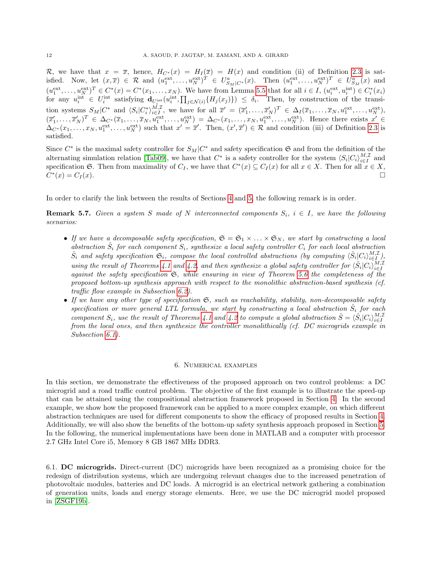R, we have that  $x = \overline{x}$ , hence,  $H_{C^*}(x) = H_I(\overline{x}) = H(x)$  and condition (ii) of Definition [2.3](#page-3-0) is satisfied. Now, let  $(x,\overline{x}) \in \mathcal{R}$  and  $(u_1^{\text{ext}},\ldots,u_N^{\text{ext}})^T \in U_{S_M|C^*}^a(x)$ . Then  $(u_1^{\text{ext}},\ldots,u_N^{\text{ext}})^T \in U_{S_M}^a(x)$  and  $(u_1^{\text{ext}},\ldots,u_N^{\text{ext}})^T\in C^*(x)=C^*(x_1,\ldots,x_N).$  We have from Lemma [5.5](#page-9-2) that for all  $i\in I$ ,  $(u_i^{\text{ext}},u_i^{\text{int}})\in C_i^*(x_i)$ for any  $u_i^{\text{int}} \in U_i^{\text{int}}$  satisfying  $\mathbf{d}_{U_i^{\text{int}}}(u_i^{\text{int}}, \prod_{j \in \mathcal{N}(i)} \{H_j(x_j)\}) \leq \delta_i$ . Then, by construction of the transition systems  $S_M|C^*$  and  $\langle S_i|C_i^*\rangle_{i\in I}^{M,\mathcal{I}},$  we have for all  $\overline{x}'=(\overline{x}_1',\ldots,\overline{x}_N')^T \in \Delta_I(\overline{x}_1,\ldots,\overline{x}_N,u_1^{\text{ext}},\ldots,u_N^{\text{ext}}),$  $(\overline{x}_1',\ldots,\overline{x}_N')^T \in \Delta_{C^*}(\overline{x}_1,\ldots,\overline{x}_N,u_1^{\text{ext}},\ldots,u_N^{\text{ext}}) = \Delta_{C^*}(x_1,\ldots,x_N,u_1^{\text{ext}},\ldots,u_N^{\text{ext}}).$  Hence there exists  $x' \in$  $\Delta_{C^*}(x_1,\ldots,x_N, u_1^{\text{ext}},\ldots, u_N^{\text{ext}})$  such that  $x'=\overline{x}'$ . Then,  $(x',\overline{x}') \in \mathcal{R}$  and condition (iii) of Definition [2.3](#page-3-0) is satisfied.

Since  $C^*$  is the maximal safety controller for  $S_M|C^*$  and safety specification  $\mathfrak S$  and from the definition of the alternating simulation relation [\[Tab09\]](#page-17-0), we have that  $C^*$  is a safety controller for the system  $\langle S_i | C_i \rangle_{i \in I}^{M,\mathcal{I}}$  and specification G. Then from maximality of  $C_I$ , we have that  $C^*(x) \subseteq C_I(x)$  for all  $x \in X$ . Then for all  $x \in X$ ,  $C^*$  $(x) = C_I(x).$ 

In order to clarify the link between the results of Sections [4](#page-5-1) and [5,](#page-7-1) the following remark is in order.

**Remark 5.7.** Given a system S made of N interconnected components  $S_i$ ,  $i \in I$ , we have the following scenarios:

- If we have a decomposable safety specification,  $\mathfrak{S} = \mathfrak{S}_1 \times \ldots \times \mathfrak{S}_N$ , we start by constructing a local abstraction  $\hat{S}_i$  for each component  $S_i$ , synthesize a local safety controller  $C_i$  for each local abstraction  $\hat{S}_i$  and safety specification  $\mathfrak{S}_i$ , compose the local controlled abstractions (by computing  $\langle \hat{S}_i | C_i \rangle_{i \in I}^{M,\mathcal{I}}$ ), using the result of Theorems [4.1](#page-5-0) and [4.2,](#page-6-0) and then synthesize a global safety controller for  $\langle \hat{S}_i | C_i \rangle_{i \in I}^{M,\mathcal{I}}$ against the safety specification S, while ensuring in view of Theorem [5.6](#page-10-0) the completeness of the proposed bottom-up synthesis approach with respect to the monolithic abstraction-based synthesis (cf. traffic flow example in Subsection [6.2\)](#page-14-0).
- If we have any other type of specification  $\mathfrak{S}$ , such as reachability, stability, non-decomposable safety specification or more general LTL formula, we start by constructing a local abstraction  $\hat{S}_i$  for each component  $S_i$ , use the result of Theorems [4.1](#page-5-0) and [4.2](#page-6-0) to compute a global abstraction  $\hat{S} = \langle \hat{S}_i | C_i \rangle_{i \in I}^{M,\mathcal{I}}$ from the local ones, and then synthesize the controller monolithically (cf. DC microgrids example in Subsection [6.1\)](#page-11-0).

#### 6. Numerical examples

In this section, we demonstrate the effectiveness of the proposed approach on two control problems: a DC microgrid and a road traffic control problem. The objective of the first example is to illustrate the speed-up that can be attained using the compositional abstraction framework proposed in Section [4.](#page-5-1) In the second example, we show how the proposed framework can be applied to a more complex example, on which different abstraction techniques are used for different components to show the efficacy of proposed results in Section [4.](#page-5-1) Additionally, we will also show the benefits of the bottom-up safety synthesis approach proposed in Section [5.](#page-7-1) In the following, the numerical implementations have been done in MATLAB and a computer with processor 2.7 GHz Intel Core i5, Memory 8 GB 1867 MHz DDR3.

<span id="page-11-0"></span>6.1. DC microgrids. Direct-current (DC) microgrids have been recognized as a promising choice for the redesign of distribution systems, which are undergoing relevant changes due to the increased penetration of photovoltaic modules, batteries and DC loads. A microgrid is an electrical network gathering a combination of generation units, loads and energy storage elements. Here, we use the DC microgrid model proposed in [\[ZSGF19b\]](#page-17-22).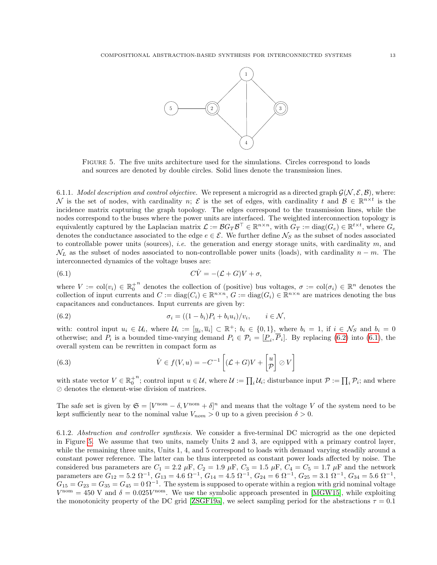<span id="page-12-2"></span>

Figure 5. The five units architecture used for the simulations. Circles correspond to loads and sources are denoted by double circles. Solid lines denote the transmission lines.

6.1.1. Model description and control objective. We represent a microgrid as a directed graph  $\mathcal{G}(\mathcal{N}, \mathcal{E}, \mathcal{B})$ , where: N is the set of nodes, with cardinality n;  $\mathcal E$  is the set of edges, with cardinality t and  $\mathcal B \in \mathbb R^{n \times t}$  is the incidence matrix capturing the graph topology. The edges correspond to the transmission lines, while the nodes correspond to the buses where the power units are interfaced. The weighted interconnection topology is equivalently captured by the Laplacian matrix  $\mathcal{L} := \mathcal{B}G_T\mathcal{B}^\top \in \mathbb{R}^{n \times n}$ , with  $G_T := \text{diag}(G_e) \in \mathbb{R}^{t \times t}$ , where  $G_e$ denotes the conductance associated to the edge  $e \in \mathcal{E}$ . We further define  $\mathcal{N}_S$  as the subset of nodes associated to controllable power units (sources), *i.e.* the generation and energy storage units, with cardinality  $m$ , and  $\mathcal{N}_L$  as the subset of nodes associated to non-controllable power units (loads), with cardinality  $n - m$ . The interconnected dynamics of the voltage buses are:

<span id="page-12-1"></span>(6.1) 
$$
C\dot{V} = -(\mathcal{L} + G)V + \sigma,
$$

where  $V := col(v_i) \in \mathbb{R}_0^+$ <sup>n</sup> denotes the collection of (positive) bus voltages,  $\sigma := col(\sigma_i) \in \mathbb{R}^n$  denotes the collection of input currents and  $C := diag(C_i) \in \mathbb{R}^{n \times n}$ ,  $G := diag(G_i) \in \mathbb{R}^{n \times n}$  are matrices denoting the bus capacitances and conductances. Input currents are given by:

<span id="page-12-0"></span>(6.2) 
$$
\sigma_i = ((1 - b_i)P_i + b_i u_i)/v_i, \quad i \in \mathcal{N},
$$

with: control input  $u_i \in \mathcal{U}_i$ , where  $\mathcal{U}_i := [\underline{u}_i, \overline{u}_i] \subset \mathbb{R}^+$ ;  $b_i \in \{0, 1\}$ , where  $b_i = 1$ , if  $i \in \mathcal{N}_S$  and  $b_i = 0$ otherwise; and  $P_i$  is a bounded time-varying demand  $P_i \in \mathcal{P}_i = [\underline{P}_i, \overline{P}_i]$ . By replacing [\(6.2\)](#page-12-0) into [\(6.1\)](#page-12-1), the overall system can be rewritten in compact form as

(6.3) 
$$
\dot{V} \in f(V, u) = -C^{-1} \left[ (\mathcal{L} + G)V + \begin{bmatrix} u \\ \mathcal{P} \end{bmatrix} \oslash V \right]
$$

with state vector  $V \in \mathbb{R}^+_0$ <sup>n</sup>; control input  $u \in \mathcal{U}$ , where  $\mathcal{U} := \prod_i \mathcal{U}_i$ ; disturbance input  $\mathcal{P} := \prod_i \mathcal{P}_i$ ; and where  $\oslash$  denotes the element-wise division of matrices.

The safe set is given by  $\mathfrak{S} = [V^{\text{nom}} - \delta, V^{\text{nom}} + \delta]^n$  and means that the voltage V of the system need to be kept sufficiently near to the nominal value  $V_{nom} > 0$  up to a given precision  $\delta > 0$ .

6.1.2. Abstraction and controller synthesis. We consider a five-terminal DC microgrid as the one depicted in Figure [5.](#page-12-2) We assume that two units, namely Units 2 and 3, are equipped with a primary control layer, while the remaining three units, Units 1, 4, and 5 correspond to loads with demand varying steadily around a constant power reference. The latter can be thus interpreted as constant power loads affected by noise. The considered bus parameters are  $C_1 = 2.2 \mu\text{F}$ ,  $C_2 = 1.9 \mu\text{F}$ ,  $C_3 = 1.5 \mu\text{F}$ ,  $C_4 = C_5 = 1.7 \mu\text{F}$  and the network parameters are  $G_{12} = 5.2 \Omega^{-1}$ ,  $G_{13} = 4.6 \Omega^{-1}$ ,  $G_{14} = 4.5 \Omega^{-1}$ ,  $G_{24} = 6 \Omega^{-1}$ ,  $G_{25} = 3.1 \Omega^{-1}$ ,  $G_{34} = 5.6 \Omega^{-1}$ ,  $G_{15} = G_{23} = G_{35} = G_{45} = 0 \Omega^{-1}$ . The system is supposed to operate within a region with grid nominal voltage  $V^{\text{nom}} = 450 \text{ V}$  and  $\delta = 0.025 V^{\text{nom}}$ . We use the symbolic approach presented in [\[MGW15\]](#page-17-16), while exploiting the monotonicity property of the DC grid [\[ZSGF19a\]](#page-17-23), we select sampling period for the abstractions  $\tau = 0.1$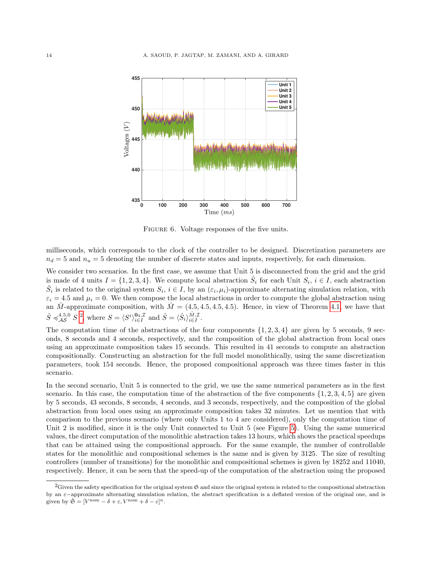<span id="page-13-1"></span>

FIGURE 6. Voltage responses of the five units.

milliseconds, which corresponds to the clock of the controller to be designed. Discretization parameters are  $n_d = 5$  and  $n_u = 5$  denoting the number of discrete states and inputs, respectively, for each dimension.

We consider two scenarios. In the first case, we assume that Unit 5 is disconnected from the grid and the grid is made of 4 units  $I = \{1, 2, 3, 4\}$ . We compute local abstraction  $\hat{S}_i$  for each Unit  $S_i$ ,  $i \in I$ , each abstraction  $\hat{S}_i$  is related to the original system  $S_i$ ,  $i \in I$ , by an  $(\varepsilon_i, \mu_i)$ -approximate alternating simulation relation, with  $\varepsilon_i = 4.5$  and  $\mu_i = 0$ . We then compose the local abstractions in order to compute the global abstraction using an  $\hat{M}$ -approximate composition, with  $\hat{M} = (4.5, 4.5, 4.5, 4.5)$ . Hence, in view of Theorem [4.1,](#page-5-0) we have that  $\hat{S} \preccurlyeq^{4.5,0}_{\mathcal{AS}} S^2$  $\hat{S} \preccurlyeq^{4.5,0}_{\mathcal{AS}} S^2$ , where  $S = \langle S^i \rangle^{0_4, \mathcal{I}}_{i \in I}$  and  $\hat{S} = \langle \hat{S}_i \rangle^{ \hat{M}, \mathcal{I}}_{i \in I}$ .

The computation time of the abstractions of the four components  $\{1, 2, 3, 4\}$  are given by 5 seconds, 9 seconds, 8 seconds and 4 seconds, respectively, and the composition of the global abstraction from local ones using an approximate composition takes 15 seconds. This resulted in 41 seconds to compute an abstraction compositionally. Constructing an abstraction for the full model monolithically, using the same discretization parameters, took 154 seconds. Hence, the proposed compositional approach was three times faster in this scenario.

In the second scenario, Unit 5 is connected to the grid, we use the same numerical parameters as in the first scenario. In this case, the computation time of the abstraction of the five components  $\{1, 2, 3, 4, 5\}$  are given by 5 seconds, 43 seconds, 8 seconds, 4 seconds, and 3 seconds, respectively, and the composition of the global abstraction from local ones using an approximate composition takes 32 minutes. Let us mention that with comparison to the previous scenario (where only Units 1 to 4 are considered), only the computation time of Unit 2 is modified, since it is the only Unit connected to Unit 5 (see Figure [5\)](#page-12-2). Using the same numerical values, the direct computation of the monolithic abstraction takes 13 hours, which shows the practical speedups that can be attained using the compositional approach. For the same example, the number of controllable states for the monolithic and compositional schemes is the same and is given by 3125. The size of resulting controllers (number of transitions) for the monolithic and compositional schemes is given by 18252 and 11040, respectively. Hence, it can be seen that the speed-up of the computation of the abstraction using the proposed

<span id="page-13-0"></span> ${}^{2}$ Given the safety specification for the original system  $\mathfrak{S}$  and since the original system is related to the compositional abstraction by an ε−approximate alternating simulation relation, the abstract specification is a deflated version of the original one, and is given by  $\hat{\mathfrak{S}} = [V^{\text{nom}} - \delta + \varepsilon, V^{\text{nom}} + \delta - \varepsilon]^n$ .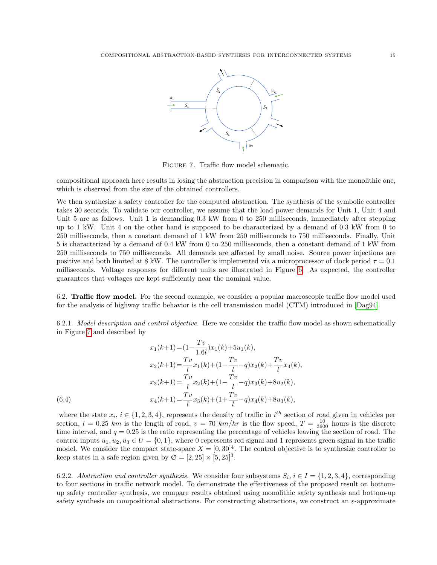<span id="page-14-1"></span>

Figure 7. Traffic flow model schematic.

compositional approach here results in losing the abstraction precision in comparison with the monolithic one, which is observed from the size of the obtained controllers.

We then synthesize a safety controller for the computed abstraction. The synthesis of the symbolic controller takes 30 seconds. To validate our controller, we assume that the load power demands for Unit 1, Unit 4 and Unit 5 are as follows. Unit 1 is demanding  $0.3 \text{ kW}$  from 0 to 250 milliseconds, immediately after stepping up to 1 kW. Unit 4 on the other hand is supposed to be characterized by a demand of 0.3 kW from 0 to 250 milliseconds, then a constant demand of 1 kW from 250 milliseconds to 750 milliseconds. Finally, Unit 5 is characterized by a demand of 0.4 kW from 0 to 250 milliseconds, then a constant demand of 1 kW from 250 milliseconds to 750 milliseconds. All demands are affected by small noise. Source power injections are positive and both limited at 8 kW. The controller is implemented via a microprocessor of clock period  $\tau = 0.1$ milliseconds. Voltage responses for different units are illustrated in Figure [6.](#page-13-1) As expected, the controller guarantees that voltages are kept sufficiently near the nominal value.

<span id="page-14-0"></span>6.2. Traffic flow model. For the second example, we consider a popular macroscopic traffic flow model used for the analysis of highway traffic behavior is the cell transmission model (CTM) introduced in [\[Dag94\]](#page-16-21).

6.2.1. Model description and control objective. Here we consider the traffic flow model as shown schematically in Figure [7](#page-14-1) and described by

(6.4)  
\n
$$
x_1(k+1) = (1 - \frac{Tv}{1.6l})x_1(k) + 5u_1(k),
$$
\n
$$
x_2(k+1) = \frac{Tv}{l}x_1(k) + (1 - \frac{Tv}{l} - q)x_2(k) + \frac{Tv}{l}x_4(k),
$$
\n
$$
x_3(k+1) = \frac{Tv}{l}x_2(k) + (1 - \frac{Tv}{l} - q)x_3(k) + 8u_2(k),
$$
\n
$$
x_4(k+1) = \frac{Tv}{l}x_3(k) + (1 + \frac{Tv}{l} - q)x_4(k) + 8u_3(k),
$$

where the state  $x_i, i \in \{1, 2, 3, 4\}$ , represents the density of traffic in  $i^{th}$  section of road given in vehicles per section,  $l = 0.25$  km is the length of road,  $v = 70$  km/hr is the flow speed,  $T = \frac{10}{3600}$  hours is the discrete time interval, and  $q = 0.25$  is the ratio representing the percentage of vehicles leaving the section of road. The control inputs  $u_1, u_2, u_3 \in U = \{0, 1\}$ , where 0 represents red signal and 1 represents green signal in the traffic model. We consider the compact state-space  $X = [0, 30]^4$ . The control objective is to synthesize controller to keep states in a safe region given by  $\mathfrak{S} = [2, 25] \times [5, 25]^3$ .

6.2.2. Abstraction and controller synthesis. We consider four subsystems  $S_i$ ,  $i \in I = \{1, 2, 3, 4\}$ , corresponding to four sections in traffic network model. To demonstrate the effectiveness of the proposed result on bottomup safety controller synthesis, we compare results obtained using monolithic safety synthesis and bottom-up safety synthesis on compositional abstractions. For constructing abstractions, we construct an  $\varepsilon$ -approximate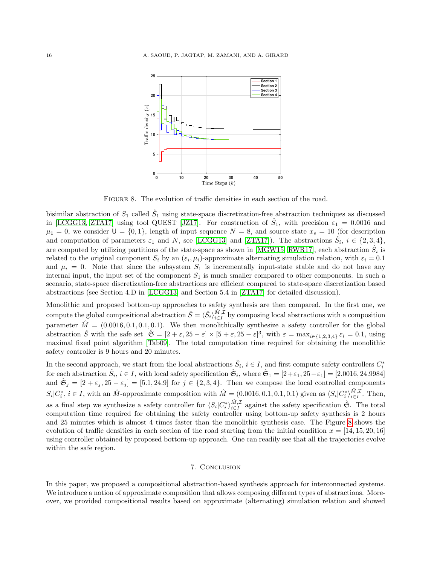<span id="page-15-0"></span>

FIGURE 8. The evolution of traffic densities in each section of the road.

bisimilar abstraction of  $S_1$  called  $\hat{S}_1$  using state-space discretization-free abstraction techniques as discussed in [\[LCGG13,](#page-16-22) [ZTA17\]](#page-17-18) using tool QUEST [\[JZ17\]](#page-16-23). For construction of  $\hat{S}_1$ , with precision  $\varepsilon_1 = 0.0016$  and  $\mu_1 = 0$ , we consider  $U = \{0, 1\}$ , length of input sequence  $N = 8$ , and source state  $x_s = 10$  (for description and computation of parameters  $\varepsilon_1$  and N, see [\[LCGG13\]](#page-16-22) and [\[ZTA17\]](#page-17-18)). The abstractions  $\hat{S}_i$ ,  $i \in \{2,3,4\}$ , are computed by utilizing partitions of the state-space as shown in [\[MGW15,](#page-17-16) [RWR17\]](#page-17-24), each abstraction  $\hat{S}_i$  is related to the original component  $S_i$  by an  $(\varepsilon_i, \mu_i)$ -approximate alternating simulation relation, with  $\varepsilon_i = 0.1$ and  $\mu_i = 0$ . Note that since the subsystem  $S_1$  is incrementally input-state stable and do not have any internal input, the input set of the component  $S_1$  is much smaller compared to other components. In such a scenario, state-space discretization-free abstractions are efficient compared to state-space discretization based abstractions (see Section 4.D in [\[LCGG13\]](#page-16-22) and Section 5.4 in [\[ZTA17\]](#page-17-18) for detailed discussion).

Monolithic and proposed bottom-up approaches to safety synthesis are then compared. In the first one, we compute the global compositional abstraction  $\hat{S} = \langle \hat{S}_i \rangle_{i \in I}^{\hat{M}, \hat{\mathcal{I}}}$  by composing local abstractions with a composition parameter  $\hat{M} = (0.0016, 0.1, 0.1, 0.1)$ . We then monolithically synthesize a safety controller for the global abstraction  $\hat{S}$  with the safe set  $\hat{\mathfrak{S}} = [2 + \varepsilon, 25 - \varepsilon] \times [5 + \varepsilon, 25 - \varepsilon]^3$ , with  $\varepsilon = \max_{i \in \{1,2,3,4\}} \varepsilon_i = 0.1$ , using maximal fixed point algorithm [\[Tab09\]](#page-17-0). The total computation time required for obtaining the monolithic safety controller is 9 hours and 20 minutes.

In the second approach, we start from the local abstractions  $\hat{S}_i$ ,  $i \in I$ , and first compute safety controllers  $C_i^*$ for each abstraction  $\hat{S}_i$ ,  $i \in I$ , with local safety specification  $\hat{\mathfrak{S}}_i$ , where  $\hat{\mathfrak{S}}_1 = [2+\varepsilon_1, 25-\varepsilon_1] = [2.0016, 24.9984]$ and  $\hat{\mathfrak{S}}_j = [2 + \varepsilon_j, 25 - \varepsilon_j] = [5.1, 24.9]$  for  $j \in \{2, 3, 4\}$ . Then we compose the local controlled components  $S_i|C_i^*, i \in I$ , with an  $\hat{M}$ -approximate composition with  $\hat{M} = (0.0016, 0.1, 0.1, 0.1)$  given as  $\langle S_i|C_i^*\rangle_{i \in I}^{\hat{M},\mathcal{I}}$ . Then, as a final step we synthesize a safety controller for  $\langle S_i | C_i^* \rangle_{i \in I}^{\hat{M}, \mathcal{I}}$  against the safety specification  $\hat{\mathfrak{S}}$ . The total computation time required for obtaining the safety controller using bottom-up safety synthesis is 2 hours and 25 minutes which is almost 4 times faster than the monolithic synthesis case. The Figure [8](#page-15-0) shows the evolution of traffic densities in each section of the road starting from the initial condition  $x = [14, 15, 20, 16]$ using controller obtained by proposed bottom-up approach. One can readily see that all the trajectories evolve within the safe region.

## 7. Conclusion

In this paper, we proposed a compositional abstraction-based synthesis approach for interconnected systems. We introduce a notion of approximate composition that allows composing different types of abstractions. Moreover, we provided compositional results based on approximate (alternating) simulation relation and showed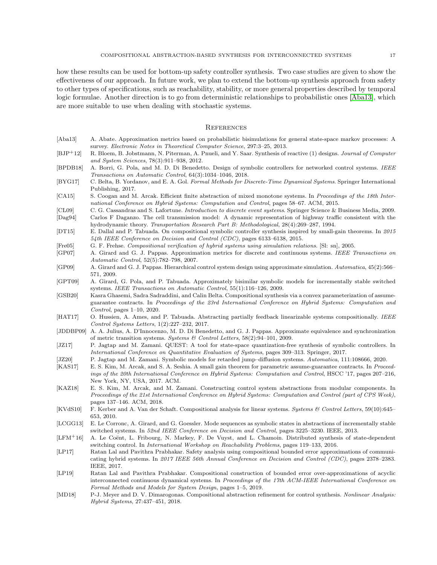how these results can be used for bottom-up safety controller synthesis. Two case studies are given to show the effectiveness of our approach. In future work, we plan to extend the bottom-up synthesis approach from safety to other types of specifications, such as reachability, stability, or more general properties described by temporal logic formulae. Another direction is to go from deterministic relationships to probabilistic ones [\[Aba13\]](#page-16-24), which are more suitable to use when dealing with stochastic systems.

#### **REFERENCES**

- <span id="page-16-24"></span>[Aba13] A. Abate. Approximation metrics based on probabilistic bisimulations for general state-space markov processes: A survey. Electronic Notes in Theoretical Computer Science, 297:3–25, 2013.
- <span id="page-16-2"></span>[BJP+12] R. Bloem, B. Jobstmann, N. Piterman, A. Pnueli, and Y. Saar. Synthesis of reactive (1) designs. Journal of Computer and System Sciences, 78(3):911–938, 2012.
- <span id="page-16-17"></span>[BPDB18] A. Borri, G. Pola, and M. D. Di Benedetto. Design of symbolic controllers for networked control systems. IEEE Transactions on Automatic Control, 64(3):1034–1046, 2018.
- <span id="page-16-0"></span>[BYG17] C. Belta, B. Yordanov, and E. A. Gol. Formal Methods for Discrete-Time Dynamical Systems. Springer International Publishing, 2017.
- <span id="page-16-18"></span>[CA15] S. Coogan and M. Arcak. Efficient finite abstraction of mixed monotone systems. In Proceedings of the 18th International Conference on Hybrid Systems: Computation and Control, pages 58–67. ACM, 2015.
- <span id="page-16-21"></span><span id="page-16-1"></span>[CL09] C. G. Cassandras and S. Lafortune. Introduction to discrete event systems. Springer Science & Business Media, 2009. [Dag94] Carlos F Daganzo. The cell transmission model: A dynamic representation of highway traffic consistent with the hydrodynamic theory. Transportation Research Part B: Methodological, 28(4):269–287, 1994.
- <span id="page-16-3"></span>[DT15] E. Dallal and P. Tabuada. On compositional symbolic controller synthesis inspired by small-gain theorems. In 2015 54th IEEE Conference on Decision and Control (CDC), pages 6133–6138, 2015.
- <span id="page-16-5"></span>[Fre05] G. F. Frehse. Compositional verification of hybrid systems using simulation relations. [Sl: sn], 2005.
- <span id="page-16-16"></span>[GP07] A. Girard and G. J. Pappas. Approximation metrics for discrete and continuous systems. IEEE Transactions on Automatic Control, 52(5):782–798, 2007.
- <span id="page-16-14"></span>[GP09] A. Girard and G. J. Pappas. Hierarchical control system design using approximate simulation. Automatica, 45(2):566– 571, 2009.
- <span id="page-16-19"></span>[GPT09] A. Girard, G. Pola, and P. Tabuada. Approximately bisimilar symbolic models for incrementally stable switched systems. IEEE Transactions on Automatic Control, 55(1):116–126, 2009.
- <span id="page-16-13"></span>[GSB20] Kasra Ghasemi, Sadra Sadraddini, and Calin Belta. Compositional synthesis via a convex parameterization of assumeguarantee contracts. In Proceedings of the 23rd International Conference on Hybrid Systems: Computation and Control, pages 1–10, 2020.
- <span id="page-16-7"></span>[HAT17] O. Hussien, A. Ames, and P. Tabuada. Abstracting partially feedback linearizable systems compositionally. IEEE Control Systems Letters, 1(2):227–232, 2017.
- <span id="page-16-15"></span>[JDDBP09] A. A. Julius, A. D'Innocenzo, M. D. Di Benedetto, and G. J. Pappas. Approximate equivalence and synchronization of metric transition systems. Systems & Control Letters, 58(2):94–101, 2009.
- <span id="page-16-23"></span>[JZ17] P. Jagtap and M. Zamani. QUEST: A tool for state-space quantization-free synthesis of symbolic controllers. In International Conference on Quantitative Evaluation of Systems, pages 309–313. Springer, 2017.
- <span id="page-16-20"></span>[JZ20] P. Jagtap and M. Zamani. Symbolic models for retarded jump-diffusion systems. Automatica, 111:108666, 2020.
- <span id="page-16-4"></span>[KAS17] E. S. Kim, M. Arcak, and S. A. Seshia. A small gain theorem for parametric assume-guarantee contracts. In Proceedings of the 20th International Conference on Hybrid Systems: Computation and Control, HSCC '17, pages 207–216, New York, NY, USA, 2017. ACM.
- <span id="page-16-8"></span>[KAZ18] E. S. Kim, M. Arcak, and M. Zamani. Constructing control system abstractions from modular components. In Proceedings of the 21st International Conference on Hybrid Systems: Computation and Control (part of CPS Week), pages 137–146. ACM, 2018.
- <span id="page-16-6"></span>[KVdS10] F. Kerber and A. Van der Schaft. Compositional analysis for linear systems. Systems & Control Letters, 59(10):645– 653, 2010.
- <span id="page-16-22"></span>[LCGG13] E. Le Corronc, A. Girard, and G. Goessler. Mode sequences as symbolic states in abstractions of incrementally stable switched systems. In 52nd IEEE Conference on Decision and Control, pages 3225–3230. IEEE, 2013.
- <span id="page-16-11"></span>[LFM+16] A. Le Coënt, L. Fribourg, N. Markey, F. De Vuyst, and L. Chamoin. Distributed synthesis of state-dependent switching control. In International Workshop on Reachability Problems, pages 119–133, 2016.
- <span id="page-16-10"></span>[LP17] Ratan Lal and Pavithra Prabhakar. Safety analysis using compositional bounded error approximations of communicating hybrid systems. In 2017 IEEE 56th Annual Conference on Decision and Control (CDC), pages 2378–2383. IEEE, 2017.
- <span id="page-16-9"></span>[LP19] Ratan Lal and Pavithra Prabhakar. Compositional construction of bounded error over-approximations of acyclic interconnected continuous dynamical systems. In Proceedings of the 17th ACM-IEEE International Conference on Formal Methods and Models for System Design, pages 1–5, 2019.
- <span id="page-16-12"></span>[MD18] P-J. Meyer and D. V. Dimarogonas. Compositional abstraction refinement for control synthesis. Nonlinear Analysis: Hybrid Systems, 27:437–451, 2018.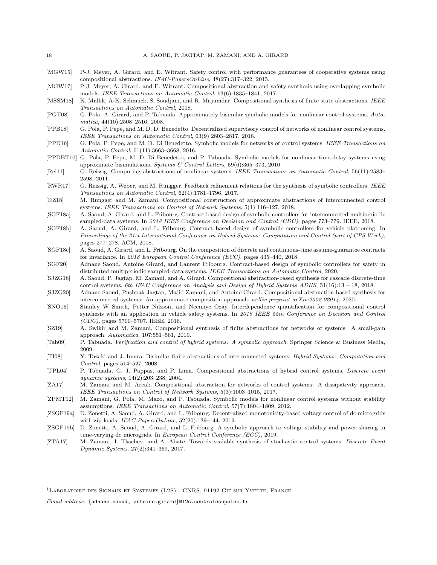- <span id="page-17-16"></span>[MGW15] P-J. Meyer, A. Girard, and E. Witrant. Safety control with performance guarantees of cooperative systems using compositional abstractions. IFAC-PapersOnLine, 48(27):317–322, 2015.
- <span id="page-17-12"></span>[MGW17] P-J. Meyer, A. Girard, and E. Witrant. Compositional abstraction and safety synthesis using overlapping symbolic models. IEEE Transactions on Automatic Control, 63(6):1835–1841, 2017.
- <span id="page-17-3"></span>[MSSM18] K. Mallik, A-K. Schmuck, S. Soudjani, and R. Majumdar. Compositional synthesis of finite state abstractions. IEEE Transactions on Automatic Control, 2018.
- <span id="page-17-21"></span>[PGT08] G. Pola, A. Girard, and P. Tabuada. Approximately bisimilar symbolic models for nonlinear control systems. Automatica, 44(10):2508–2516, 2008.
- <span id="page-17-15"></span>[PPB18] G. Pola, P. Pepe, and M. D. D. Benedetto. Decentralized supervisory control of networks of nonlinear control systems. IEEE Transactions on Automatic Control, 63(9):2803–2817, 2018.
- <span id="page-17-2"></span>[PPD16] G. Pola, P. Pepe, and M. D. Di Benedetto. Symbolic models for networks of control systems. IEEE Transactions on Automatic Control, 61(11):3663–3668, 2016.
- <span id="page-17-20"></span>[PPDBT10] G. Pola, P. Pepe, M. D. Di Benedetto, and P. Tabuada. Symbolic models for nonlinear time-delay systems using approximate bisimulations. Systems & Control Letters, 59(6):365–373, 2010.
- <span id="page-17-17"></span>[Rei11] G. Reissig. Computing abstractions of nonlinear systems. IEEE Transactions on Automatic Control, 56(11):2583– 2598, 2011.
- <span id="page-17-24"></span>[RWR17] G. Reissig, A. Weber, and M. Rungger. Feedback refinement relations for the synthesis of symbolic controllers. IEEE Transactions on Automatic Control, 62(4):1781–1796, 2017.
- <span id="page-17-9"></span>[RZ18] M. Rungger and M. Zamani. Compositional construction of approximate abstractions of interconnected control systems. IEEE Transactions on Control of Network Systems, 5(1):116–127, 2018.
- <span id="page-17-5"></span>[SGF18a] A. Saoud, A. Girard, and L. Fribourg. Contract based design of symbolic controllers for interconnected multiperiodic sampled-data systems. In 2018 IEEE Conference on Decision and Control (CDC), pages 773–779. IEEE, 2018.
- <span id="page-17-6"></span>[SGF18b] A. Saoud, A. Girard, and L. Fribourg. Contract based design of symbolic controllers for vehicle platooning. In Proceedings of the 21st International Conference on Hybrid Systems: Computation and Control (part of CPS Week), pages 277–278. ACM, 2018.
- <span id="page-17-14"></span>[SGF18c] A. Saoud, A. Girard, and L. Fribourg. On the composition of discrete and continuous-time assume-guarantee contracts for invariance. In 2018 European Control Conference (ECC), pages 435–440, 2018.
- <span id="page-17-7"></span>[SGF20] Adnane Saoud, Antoine Girard, and Laurent Fribourg. Contract-based design of symbolic controllers for safety in distributed multiperiodic sampled-data systems. IEEE Transactions on Automatic Control, 2020.
- <span id="page-17-19"></span>[SJZG18] A. Saoud, P. Jagtap, M. Zamani, and A. Girard. Compositional abstraction-based synthesis for cascade discrete-time control systems. 6th IFAC Conference on Analysis and Design of Hybrid Systems ADHS, 51(16):13 – 18, 2018.
- [SJZG20] Adnane Saoud, Pushpak Jagtap, Majid Zamani, and Antoine Girard. Compositional abstraction-based synthesis for interconnected systems: An approximate composition approach. arXiv preprint arXiv:2002.02014, 2020.
- <span id="page-17-13"></span>[SNO16] Stanley W Smith, Petter Nilsson, and Necmiye Ozay. Interdependence quantification for compositional control synthesis with an application in vehicle safety systems. In 2016 IEEE 55th Conference on Decision and Control (CDC), pages 5700–5707. IEEE, 2016.
- <span id="page-17-10"></span>[SZ19] A. Swikir and M. Zamani. Compositional synthesis of finite abstractions for networks of systems: A small-gain approach. Automatica, 107:551–561, 2019.
- <span id="page-17-0"></span>[Tab09] P. Tabuada. Verification and control of hybrid systems: A symbolic approach. Springer Science & Business Media, 2009.
- <span id="page-17-1"></span>[TI08] Y. Tazaki and J. Imura. Bisimilar finite abstractions of interconnected systems. Hybrid Systems: Computation and Control, pages 514–527, 2008.
- <span id="page-17-8"></span>[TPL04] P. Tabuada, G. J. Pappas, and P. Lima. Compositional abstractions of hybrid control systems. Discrete event dynamic systems, 14(2):203–238, 2004.
- <span id="page-17-4"></span>[ZA17] M. Zamani and M. Arcak. Compositional abstraction for networks of control systems: A dissipativity approach. IEEE Transactions on Control of Network Systems, 5(3):1003–1015, 2017.
- <span id="page-17-11"></span>[ZPMT12] M. Zamani, G. Pola, M. Mazo, and P. Tabuada. Symbolic models for nonlinear control systems without stability assumptions. IEEE Transactions on Automatic Control, 57(7):1804–1809, 2012.
- <span id="page-17-23"></span>[ZSGF19a] D. Zonetti, A. Saoud, A. Girard, and L. Fribourg. Decentralized monotonicity-based voltage control of dc microgrids with zip loads. IFAC-PapersOnLine, 52(20):139–144, 2019.
- <span id="page-17-22"></span>[ZSGF19b] D. Zonetti, A. Saoud, A. Girard, and L. Fribourg. A symbolic approach to voltage stability and power sharing in time-varying dc microgrids. In European Control Conference (ECC), 2019.
- <span id="page-17-18"></span>[ZTA17] M. Zamani, I. Tkachev, and A. Abate. Towards scalable synthesis of stochastic control systems. Discrete Event Dynamic Systems, 27(2):341–369, 2017.

1Laboratoire des Signaux et Systemes (L2S) - CNRS, 91192 Gif sur Yvette, France.

Email address: {adnane.saoud, antoine.girard}@l2s.centralesupelec.fr